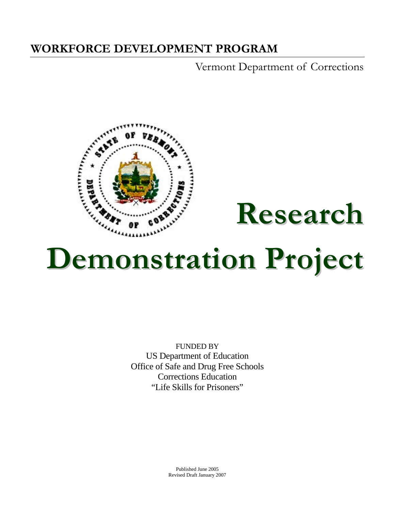### **WORKFORCE DEVELOPMENT PROGRAM**

Vermont Department of Corrections



# **Research**

# **Demonstration Project**

FUNDED BY US Department of Education Office of Safe and Drug Free Schools Corrections Education "Life Skills for Prisoners"

> Published June 2005 Revised Draft January 2007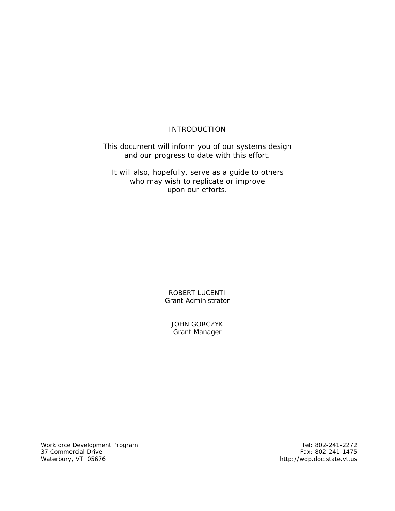#### INTRODUCTION

This document will inform you of our systems design and our progress to date with this effort.

It will also, hopefully, serve as a guide to others who may wish to replicate or improve upon our efforts.

> ROBERT LUCENTI Grant Administrator

JOHN GORCZYK Grant Manager

Workforce Development Program and the control of the control of the Tel: 802-241-2272<br>37 Commercial Drive and Tel: 802-241-1475 37 Commercial Drive<br>Waterbury, VT 05676

http://wdp.doc.state.vt.us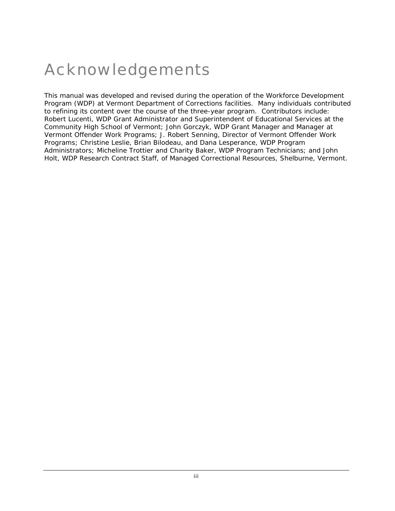# Acknowledgements

This manual was developed and revised during the operation of the Workforce Development Program (WDP) at Vermont Department of Corrections facilities. Many individuals contributed to refining its content over the course of the three-year program. Contributors include: Robert Lucenti, WDP Grant Administrator and Superintendent of Educational Services at the Community High School of Vermont; John Gorczyk, WDP Grant Manager and Manager at Vermont Offender Work Programs; J. Robert Senning, Director of Vermont Offender Work Programs; Christine Leslie, Brian Bilodeau, and Dana Lesperance, WDP Program Administrators; Micheline Trottier and Charity Baker, WDP Program Technicians; and John Holt, WDP Research Contract Staff, of Managed Correctional Resources, Shelburne, Vermont.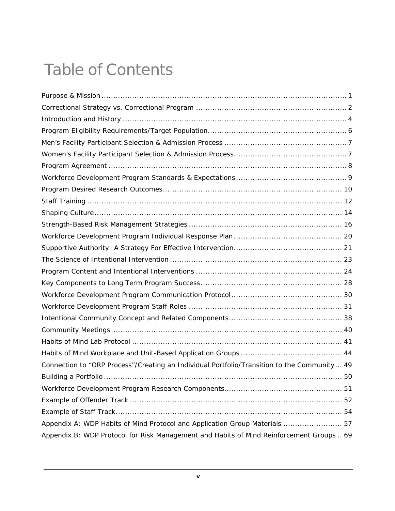# Table of Contents

| Connection to "ORP Process"/Creating an Individual Portfolio/Transition to the Community 49 |
|---------------------------------------------------------------------------------------------|
|                                                                                             |
|                                                                                             |
|                                                                                             |
|                                                                                             |
| Appendix A: WDP Habits of Mind Protocol and Application Group Materials  57                 |
| Appendix B: WDP Protocol for Risk Management and Habits of Mind Reinforcement Groups  69    |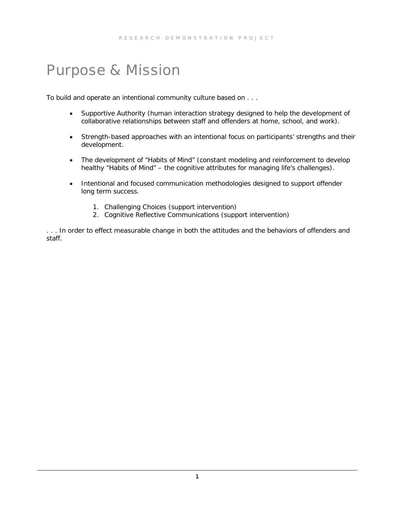# Purpose & Mission

To build and operate an intentional community culture based on . . .

- Supportive Authority (human interaction strategy designed to help the development of collaborative relationships between staff and offenders at home, school, and work).
- Strength-based approaches with an intentional focus on participants' strengths and their development.
- The development of "Habits of Mind" (constant modeling and reinforcement to develop healthy "Habits of Mind" – the cognitive attributes for managing life's challenges).
- Intentional and focused communication methodologies designed to support offender long term success.
	- 1. Challenging Choices (support intervention)
	- 2. Cognitive Reflective Communications (support intervention)

... In order to effect measurable change in both the attitudes and the behaviors of offenders and staff.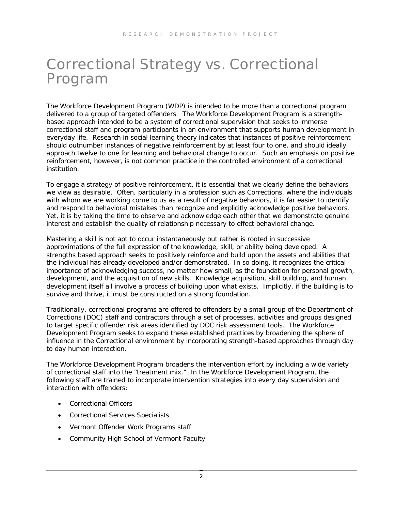# Correctional Strategy vs. Correctional Program

The Workforce Development Program (WDP) is intended to be more than a correctional program delivered to a group of targeted offenders. The Workforce Development Program is a *strengthbased approach* intended to be a system of correctional supervision that seeks to immerse correctional staff and program participants in an environment that supports human development in everyday life. Research in social learning theory indicates that instances of positive reinforcement should outnumber instances of negative reinforcement by at least four to one, and should ideally approach twelve to one for learning and behavioral change to occur. Such an emphasis on positive reinforcement, however, is not common practice in the controlled environment of a correctional institution.

To engage a strategy of positive reinforcement, it is essential that we clearly define the behaviors we view as desirable. Often, particularly in a profession such as Corrections, where the individuals with whom we are working come to us as a result of negative behaviors, it is far easier to identify and respond to behavioral mistakes than recognize and explicitly acknowledge positive behaviors. Yet, it is by taking the time to observe and acknowledge each other that we demonstrate genuine interest and establish the quality of relationship necessary to effect behavioral change.

Mastering a skill is not apt to occur instantaneously but rather is rooted in successive approximations of the full expression of the knowledge, skill, or ability being developed. A strengths based approach seeks to positively reinforce and build upon the assets and abilities that the individual has already developed and/or demonstrated. In so doing, it recognizes the critical importance of acknowledging success, no matter how small, as the foundation for personal growth, development, and the acquisition of new skills. Knowledge acquisition, skill building, and human development itself all involve a process of building upon what exists. Implicitly, if the building is to survive and thrive, it must be constructed on a strong foundation.

Traditionally, correctional programs are offered to offenders by a small group of the Department of Corrections (DOC) staff and contractors through a set of processes, activities and groups designed to target specific offender risk areas identified by DOC risk assessment tools. The Workforce Development Program seeks to expand these established practices by broadening the sphere of influence in the Correctional environment by incorporating *strength-based approaches* through day to day human interaction.

The Workforce Development Program broadens the intervention effort by including a wide variety of correctional staff into the "treatment mix." In the Workforce Development Program, the following staff are trained to incorporate intervention strategies into every day supervision and interaction with offenders:

- Correctional Officers
- Correctional Services Specialists
- Vermont Offender Work Programs staff
- Community High School of Vermont Faculty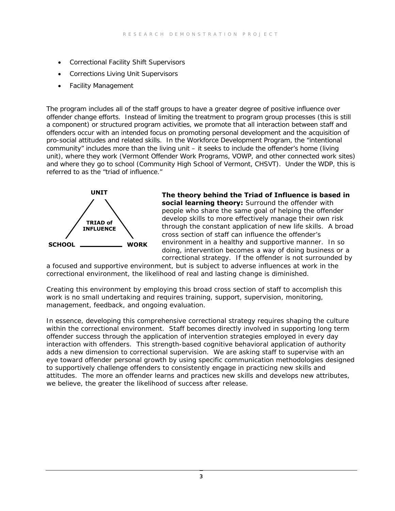- Correctional Facility Shift Supervisors
- Corrections Living Unit Supervisors
- Facility Management

The program includes all of the staff groups to have a greater degree of positive influence over offender change efforts. Instead of limiting the treatment to program group processes (this is still a component) or structured program activities, we promote that all interaction between staff and offenders occur with an intended focus on promoting personal development and the acquisition of pro-social attitudes and related skills. In the Workforce Development Program, the "intentional community" includes more than the living unit – it seeks to include the offender's home (living unit), where they work (Vermont Offender Work Programs, VOWP, and other connected work sites) and where they go to school (Community High School of Vermont, CHSVT). Under the WDP, this is referred to as the "triad of influence."



**The theory behind the Triad of Influence is based in social learning theory:** Surround the offender with people who share the same goal of helping the offender **TRIAD of N** develop skills to more effectively manage their own risk **INFLUENCE** \ through the constant application of new life skills. A broad cross section of staff can influence the offender's environment in a healthy and supportive manner. In so doing, intervention becomes a way of doing business or a correctional strategy. If the offender is not surrounded by

a focused and supportive environment, but is subject to adverse influences at work in the correctional environment, the likelihood of real and lasting change is diminished.

Creating this environment by employing this broad cross section of staff to accomplish this work is no small undertaking and requires training, support, supervision, monitoring, management, feedback, and ongoing evaluation.

In essence, developing this comprehensive correctional strategy requires shaping the culture within the correctional environment. Staff becomes directly involved in supporting long term offender success through the application of intervention strategies employed in every day interaction with offenders. This strength-based cognitive behavioral application of authority adds a new dimension to correctional supervision. We are asking staff to supervise with an eye toward offender personal growth by using specific communication methodologies designed to supportively challenge offenders to consistently engage in practicing new skills and attitudes. The more an offender learns and practices new skills and develops new attributes, we believe, the greater the likelihood of success after release.

3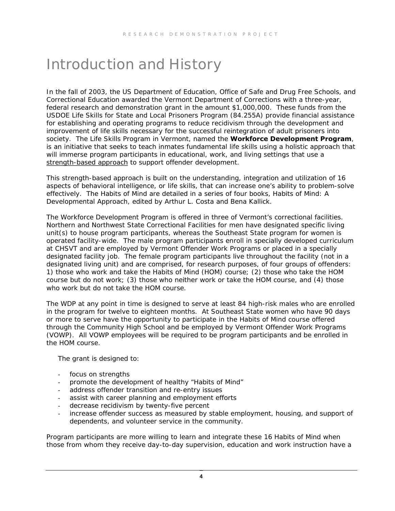# Introduction and History

In the fall of 2003, the US Department of Education, Office of Safe and Drug Free Schools, and Correctional Education awarded the Vermont Department of Corrections with a three-year, federal research and demonstration grant in the amount \$1,000,000. These funds from the USDOE Life Skills for State and Local Prisoners Program (84.255A) provide financial assistance for establishing and operating programs to reduce recidivism through the development and improvement of life skills necessary for the successful reintegration of adult prisoners into society. The Life Skills Program in Vermont, named the **Workforce Development Program**, is an initiative that seeks to teach inmates fundamental life skills using a holistic approach that will immerse program participants in educational, work, and living settings that use a strength-based approach to support offender development.

This *strength-based approach* is built on the understanding, integration and utilization of 16 aspects of behavioral intelligence, or life skills, that can increase one's ability to problem-solve effectively*.* The *Habits of Mind* are detailed in a series of four books, *Habits of Mind: A Developmental Approach*, edited by Arthur L. Costa and Bena Kallick.

The Workforce Development Program is offered in three of Vermont's correctional facilities. Northern and Northwest State Correctional Facilities for men have designated specific living unit(s) to house program participants, whereas the Southeast State program for women is operated facility-wide. The male program participants enroll in specially developed curriculum at CHSVT and are employed by Vermont Offender Work Programs or placed in a specially designated facility job. The female program participants live throughout the facility (not in a designated living unit) and are comprised, for research purposes, of four groups of offenders: 1) those who work and take the Habits of Mind (HOM) course; (2) those who take the HOM course but do not work; (3) those who neither work or take the HOM course, and (4) those who work but do not take the HOM course.

The WDP at any point in time is designed to serve at least 84 high-risk males who are enrolled in the program for twelve to eighteen months. At Southeast State women who have 90 days or more to serve have the opportunity to participate in the *Habits of Mind* course offered through the Community High School and be employed by Vermont Offender Work Programs (VOWP). All VOWP employees will be required to be program participants and be enrolled in the HOM course.

The grant is designed to:

- *focus on strengths*
- *promote the development of healthy "Habits of Mind"*
- *address offender transition and re-entry issues*
- *assist with career planning and employment efforts*
- *decrease recidivism by twenty-five percent*
- *increase offender success as measured by stable employment, housing, and support of dependents, and volunteer service in the community.*

Program participants are more willing to learn and integrate these 16 *Habits of Mind* when those from whom they receive day-to-day supervision, education and work instruction have a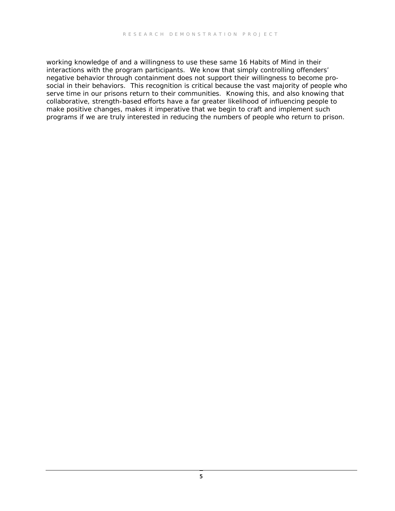working knowledge of and a willingness to use these same 16 *Habits of Mind* in their interactions with the program participants. We know that simply controlling offenders' negative behavior through containment does not support their willingness to become prosocial in their behaviors. This recognition is critical because the vast majority of people who serve time in our prisons return to their communities. Knowing this, and also knowing that collaborative, strength-based efforts have a far greater likelihood of influencing people to make positive changes, makes it imperative that we begin to craft and implement such programs if we are truly interested in reducing the numbers of people who return to prison.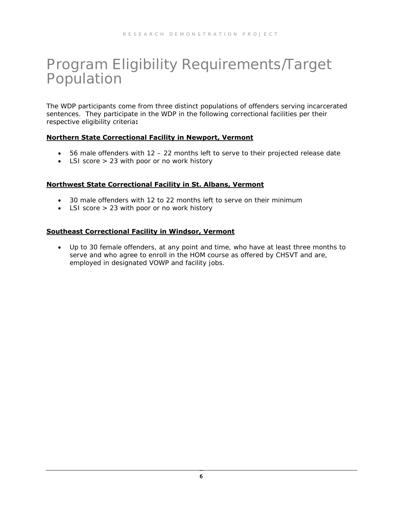## Program Eligibility Requirements/Target Population

The WDP participants come from three distinct populations of offenders serving incarcerated sentences. They participate in the WDP in the following correctional facilities per their respective eligibility criteria**:** 

#### **Northern State Correctional Facility in Newport, Vermont**

- $\bullet$  56 male offenders with 12 22 months left to serve to their projected release date
- LSI score > 23 with poor or no work history

#### **Northwest State Correctional Facility in St. Albans, Vermont**

- 30 male offenders with 12 to 22 months left to serve on their minimum
- LSI score > 23 with poor or no work history

#### **Southeast Correctional Facility in Windsor, Vermont**

• Up to 30 female offenders, at any point and time, who have at least three months to serve and who agree to enroll in the HOM course as offered by CHSVT and are, employed in designated VOWP and facility jobs.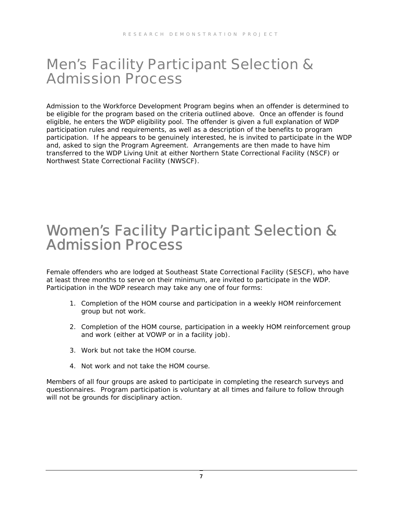## Men's Facility Participant Selection & Admission Process

Admission to the Workforce Development Program begins when an offender is determined to be eligible for the program based on the criteria outlined above. Once an offender is found eligible, he enters the WDP eligibility pool. The offender is given a full explanation of WDP participation rules and requirements, as well as a description of the benefits to program participation. If he appears to be genuinely interested, he is invited to participate in the WDP and, asked to sign the Program Agreement. Arrangements are then made to have him transferred to the WDP Living Unit at either Northern State Correctional Facility (NSCF) or Northwest State Correctional Facility (NWSCF).

### Women's Facility Participant Selection & Admission Process

Female offenders who are lodged at Southeast State Correctional Facility (SESCF), who have at least three months to serve on their minimum, are invited to participate in the WDP. Participation in the WDP research may take any one of four forms:

- 1. Completion of the HOM course and participation in a weekly HOM reinforcement group but not work.
- 2. Completion of the HOM course, participation in a weekly HOM reinforcement group and work (either at VOWP or in a facility job).
- 3. Work but not take the HOM course.
- 4. Not work and not take the HOM course.

Members of all four groups are asked to participate in completing the research surveys and questionnaires. Program participation is voluntary at all times and failure to follow through will not be grounds for disciplinary action.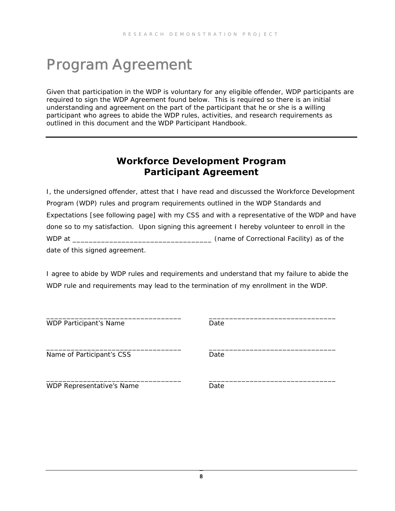# Program Agreement

Given that participation in the WDP is voluntary for any eligible offender, WDP participants are required to sign the WDP Agreement found below. This is required so there is *an initial understanding* and *agreement* on the part of the participant that he or she is a willing participant who agrees to abide the WDP rules, activities, and research requirements as outlined in this document and the WDP Participant Handbook.

#### **Workforce Development Program Participant Agreement**

I, the undersigned offender, attest that I have read and discussed the Workforce Development Program (WDP) rules and program requirements outlined in the WDP Standards and Expectations [see following page] with my CSS and with a representative of the WDP and have done so to my satisfaction. Upon signing this agreement I hereby volunteer to enroll in the WDP at \_\_\_\_\_\_\_\_\_\_\_\_\_\_\_\_\_\_\_\_\_\_\_\_\_\_\_\_\_\_\_\_\_\_ (name of Correctional Facility) as of the date of this signed agreement.

I agree to abide by WDP rules and requirements and understand that my failure to abide the WDP rule and requirements may lead to the termination of my enrollment in the WDP.

\_\_\_\_\_\_\_\_\_\_\_\_\_\_\_\_\_\_\_\_\_\_\_\_\_\_\_\_\_\_\_\_\_ \_\_\_\_\_\_\_\_\_\_\_\_\_\_\_\_\_\_\_\_\_\_\_\_\_\_\_\_\_\_\_ WDP Participant's Name **Date** 

\_\_\_\_\_\_\_\_\_\_\_\_\_\_\_\_\_\_\_\_\_\_\_\_\_\_\_\_\_\_\_\_\_ \_\_\_\_\_\_\_\_\_\_\_\_\_\_\_\_\_\_\_\_\_\_\_\_\_\_\_\_\_\_\_ Name of Participant's CSS Date

WDP Representative's Name **Date** Date

\_\_\_\_\_\_\_\_\_\_\_\_\_\_\_\_\_\_\_\_\_\_\_\_\_\_\_\_\_\_\_\_\_ \_\_\_\_\_\_\_\_\_\_\_\_\_\_\_\_\_\_\_\_\_\_\_\_\_\_\_\_\_\_\_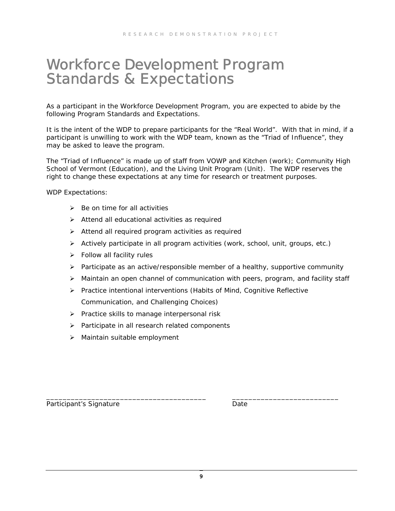## Workforce Development Program Standards & Expectations

As a participant in the Workforce Development Program, you are expected to abide by the following Program Standards and Expectations.

It is the intent of the WDP to prepare participants for the "Real World". With that in mind, if a participant is unwilling to work with the WDP team, known as the "Triad of Influence", they may be asked to leave the program.

The "Triad of Influence" is made up of staff from VOWP and Kitchen (work); Community High School of Vermont (Education), and the Living Unit Program (Unit). The WDP reserves the right to change these expectations at any time for research or treatment purposes.

WDP Expectations:

- $\triangleright$  Be on time for all activities
- $\triangleright$  Attend all educational activities as required
- $\triangleright$  Attend all required program activities as required
- $\triangleright$  Actively participate in all program activities (work, school, unit, groups, etc.)
- $\triangleright$  Follow all facility rules
- $\triangleright$  Participate as an active/responsible member of a healthy, supportive community
- $\triangleright$  Maintain an open channel of communication with peers, program, and facility staff
- ¾ Practice intentional interventions (Habits of Mind, Cognitive Reflective Communication, and Challenging Choices)
- $\triangleright$  Practice skills to manage interpersonal risk
- ¾ Participate in all research related components
- ¾ Maintain suitable employment

Participant's Signature Date

\_\_\_\_\_\_\_\_\_\_\_\_\_\_\_\_\_\_\_\_\_\_\_\_\_\_\_\_\_\_\_\_\_\_\_\_\_\_\_ \_\_\_\_\_\_\_\_\_\_\_\_\_\_\_\_\_\_\_\_\_\_\_\_\_\_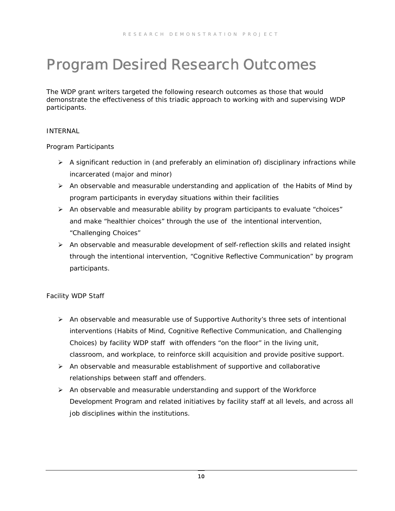# Program Desired Research Outcomes

The WDP grant writers targeted the following research outcomes as those that would demonstrate the effectiveness of this triadic approach to working with and supervising WDP participants.

#### INTERNAL

#### *Program Participants*

- $\triangleright$  A significant reduction in (and preferably an elimination of) disciplinary infractions while incarcerated (major and minor)
- ¾ An observable and measurable understanding and application of the *Habits of Mind* by program participants in everyday situations within their facilities
- ¾ An observable and measurable ability by program participants to evaluate "choices" and make "healthier choices" through the use of the intentional intervention, "Challenging Choices"
- $\triangleright$  An observable and measurable development of self-reflection skills and related insight through the intentional intervention, "Cognitive Reflective Communication" by program participants.

#### *Facility WDP Staff*

- ¾ An observable and measurable use of *Supportive Authority's* three sets of intentional interventions (*Habits of Mind*, Cognitive Reflective Communication, and Challenging Choices) by facility WDP staff with offenders "on the floor" in the living unit, classroom, and workplace, to reinforce skill acquisition and provide positive support.
- $\triangleright$  An observable and measurable establishment of supportive and collaborative relationships between staff and offenders.
- $\triangleright$  An observable and measurable understanding and support of the Workforce Development Program and related initiatives by facility staff at *all levels*, and across all job disciplines within the institutions.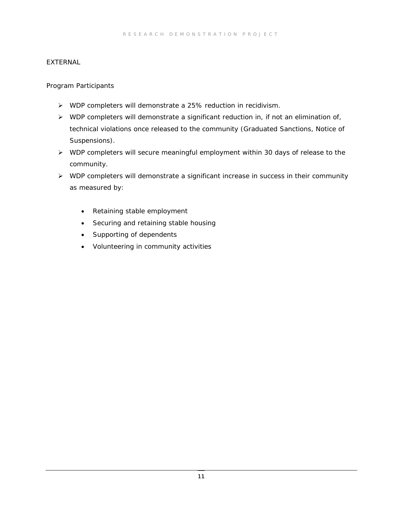#### EXTERNAL

#### *Program Participants*

- ¾ WDP completers will demonstrate a 25% reduction in recidivism.
- ¾ WDP completers will demonstrate a significant reduction in, if not an elimination of, technical violations once released to the community (Graduated Sanctions, Notice of Suspensions).
- ¾ WDP completers will secure meaningful employment within 30 days of release to the community.
- $\triangleright$  WDP completers will demonstrate a significant increase in success in their community as measured by:
	- Retaining stable employment
	- Securing and retaining stable housing
	- Supporting of dependents
	- Volunteering in community activities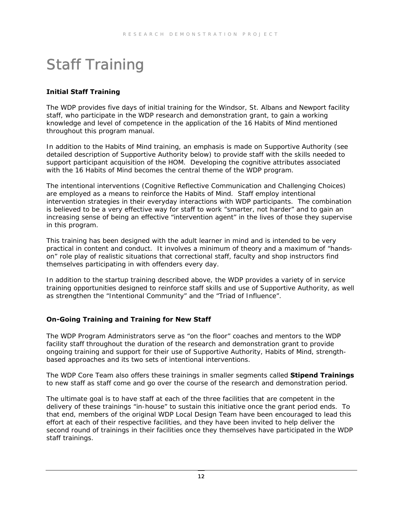# Staff Training

#### **Initial Staff Training**

The WDP provides five days of initial training for the Windsor, St. Albans and Newport facility staff, who participate in the WDP research and demonstration grant, to gain a working knowledge and level of competence in the application of the 16 *Habits of Mind* mentioned throughout this program manual.

In addition to the *Habits of Mind* training, an emphasis is made on *Supportive Authority* (see detailed description of *Supportive Authority* below) to provide staff with the skills needed to support participant acquisition of the HOM. Developing the cognitive attributes associated with the 16 *Habits of Mind* becomes the central theme of the WDP program.

The intentional interventions (Cognitive Reflective Communication and Challenging Choices) are employed as a means to reinforce the *Habits of Mind*. Staff employ intentional intervention strategies in their everyday interactions with WDP participants. The combination is believed to be a very effective way for staff to work "smarter, not harder" and to gain an increasing sense of being an effective "intervention agent" in the lives of those they supervise in this program.

This training has been designed with the adult learner in mind and is intended to be very practical in content and conduct. It involves a minimum of theory and a maximum of "handson" role play of realistic situations that correctional staff, faculty and shop instructors find themselves participating in with offenders every day.

In addition to the startup training described above, the WDP provides a variety of in service training opportunities designed to reinforce staff skills and use of *Supportive Authority*, as well as strengthen the "Intentional Community" and the "Triad of Influence".

#### **On-Going Training and Training for New Staff**

The WDP Program Administrators serve as "on the floor" coaches and mentors to the WDP facility staff throughout the duration of the research and demonstration grant to provide ongoing training and support for their use of *Supportive Authority*, *Habits of Mind*, strengthbased approaches and its two sets of intentional interventions.

The WDP Core Team also offers these trainings in smaller segments called **Stipend Trainings**  to new staff as staff come and go over the course of the research and demonstration period.

The ultimate goal is to have staff at each of the three facilities that are competent in the delivery of these trainings "in-house" to sustain this initiative once the grant period ends. To that end, members of the original WDP Local Design Team have been encouraged to lead this effort at each of their respective facilities, and they have been invited to help deliver the second round of trainings in their facilities once they themselves have participated in the WDP staff trainings.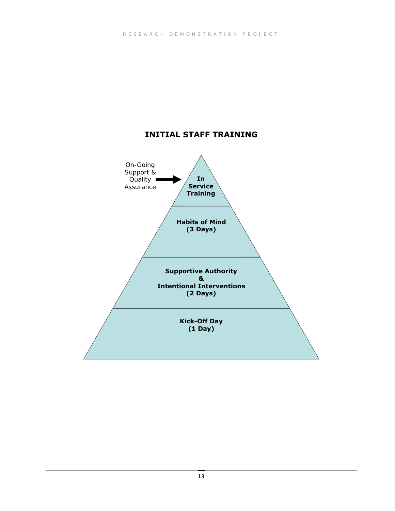#### **INITIAL STAFF TRAINING**

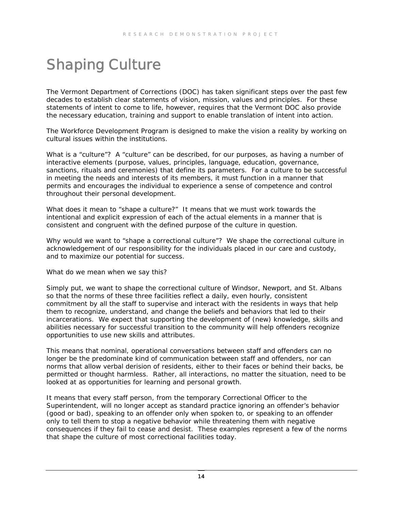# Shaping Culture

The Vermont Department of Corrections (DOC) has taken significant steps over the past few decades to establish clear statements of vision, mission, values and principles. For these statements of intent to come to life, however, requires that the Vermont DOC also provide the necessary education, training and support to enable translation of intent into action.

The Workforce Development Program is designed to make the vision a reality by working on cultural issues within the institutions.

What is a "culture"? A "culture" can be described, for our purposes, as having a number of interactive elements (purpose, values, principles, language, education, governance, sanctions, rituals and ceremonies) that define its parameters. For a culture to be successful in meeting the needs and interests of its members, it must function in a manner that permits and encourages the individual to experience a sense of competence and control throughout their personal development.

What does it mean to "shape a culture?" It means that we must work towards the intentional and explicit expression of each of the actual elements in a manner that is consistent and congruent with the defined purpose of the culture in question.

Why would we want to "shape a correctional culture"? We shape the correctional culture in acknowledgement of our responsibility for the individuals placed in our care and custody, and to maximize our potential for success.

#### *What do we mean when we say this*?

Simply put, we want to shape the correctional culture of Windsor, Newport, and St. Albans so that the norms of these three facilities reflect a daily, even hourly, consistent commitment by all the staff to supervise and interact with the residents in ways that help them to recognize, understand, and change the beliefs and behaviors that led to their incarcerations. We expect that supporting the development of (new) knowledge, skills and abilities necessary for successful transition to the community will help offenders recognize opportunities to use new skills and attributes.

This means that nominal, operational conversations between staff and offenders can no longer be the predominate kind of communication between staff and offenders, nor can norms that allow verbal derision of residents, either to their faces or behind their backs, be permitted or thought harmless. Rather, all interactions, no matter the situation, need to be looked at as opportunities for learning and personal growth.

It means that every staff person, from the temporary Correctional Officer to the Superintendent, will no longer accept as standard practice ignoring an offender's behavior (good or bad), speaking to an offender only when spoken to, or speaking to an offender only to tell them to stop a negative behavior while threatening them with negative consequences if they fail to cease and desist. These examples represent a few of the norms that shape the culture of most correctional facilities today.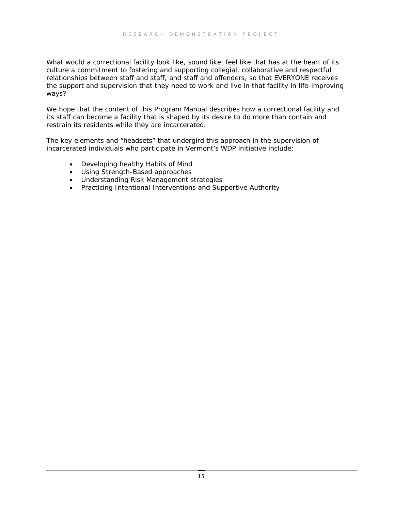What would a correctional facility look like, sound like, feel like that has at the heart of its culture a commitment to fostering and supporting collegial, collaborative and respectful relationships between staff and staff, and staff and offenders, so that EVERYONE receives the support and supervision that they need to work and live in that facility in life-improving ways?

We hope that the content of this Program Manual describes how a correctional facility and its staff can become a facility that is shaped by its desire to do more than contain and restrain its residents while they are incarcerated.

The key elements and "headsets" that undergird this approach in the supervision of incarcerated individuals who participate in Vermont's WDP initiative include:

- Developing healthy *Habits of Mind*
- Using Strength-Based approaches
- Understanding Risk Management strategies
- Practicing Intentional Interventions and Supportive Authority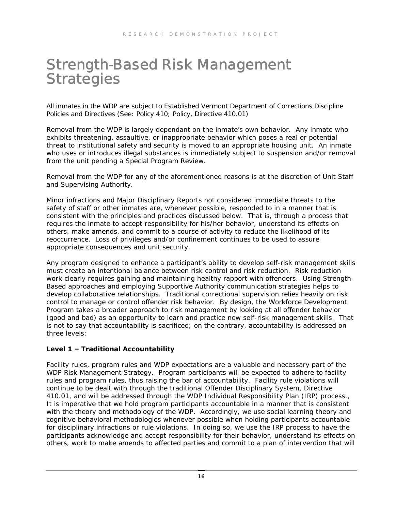## Strength-Based Risk Management **Strategies**

All inmates in the WDP are subject to Established Vermont Department of Corrections Discipline Policies and Directives (See: Policy 410; Policy, Directive 410.01)

Removal from the WDP is largely dependant on the inmate's own behavior. Any inmate who exhibits threatening, assaultive, or inappropriate behavior which poses a real or potential threat to institutional safety and security is moved to an appropriate housing unit. An inmate who uses or introduces illegal substances is immediately subject to suspension and/or removal from the unit pending a Special Program Review.

Removal from the WDP for any of the aforementioned reasons is at the discretion of Unit Staff and Supervising Authority.

Minor infractions and Major Disciplinary Reports not considered immediate threats to the safety of staff or other inmates are, whenever possible, responded to in a manner that is consistent with the principles and practices discussed below. That is, through a process that requires the inmate to accept responsibility for his/her behavior, understand its effects on others, make amends, and commit to a course of activity to reduce the likelihood of its reoccurrence. Loss of privileges and/or confinement continues to be used to assure appropriate consequences and unit security.

Any program designed to enhance a participant's ability to develop self-risk management skills must create an intentional balance between risk control and risk reduction. Risk reduction work clearly requires gaining and maintaining healthy rapport with offenders. Using *Strength-Based* approaches and employing Supportive Authority communication strategies helps to develop collaborative relationships. Traditional correctional supervision relies heavily on risk control to manage or control offender risk behavior. By design, the Workforce Development Program takes a broader approach to risk management by looking at all offender behavior (good and bad) as an opportunity to learn and practice new self-risk management skills. That is not to say that accountability is sacrificed; on the contrary, accountability is addressed on three levels:

#### **Level 1 – Traditional Accountability**

Facility rules, program rules and WDP expectations are a valuable and necessary part of the WDP Risk Management Strategy. Program participants will be expected to adhere to facility rules and program rules, thus raising the bar of accountability. Facility rule violations will continue to be dealt with through the traditional Offender Disciplinary System, Directive 410.01, and will be addressed through the WDP Individual Responsibility Plan (IRP) process., It is imperative that we hold program participants accountable in a manner that is consistent with the theory and methodology of the WDP. Accordingly, we use social learning theory and cognitive behavioral methodologies whenever possible when holding participants accountable for disciplinary infractions or rule violations. In doing so, we use the IRP process to have the participants acknowledge and accept responsibility for their behavior, understand its effects on others, work to make amends to affected parties and commit to a plan of intervention that will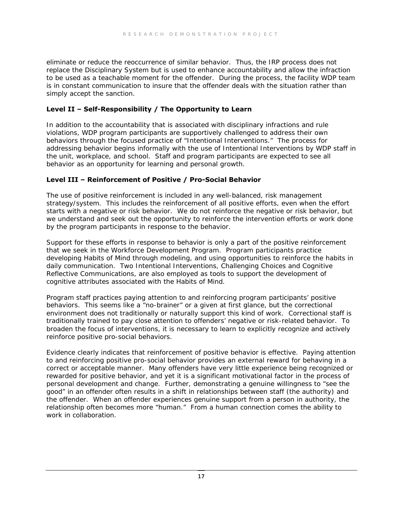eliminate or reduce the reoccurrence of similar behavior. Thus, the IRP process does not replace the Disciplinary System but is used to enhance accountability and allow the infraction to be used as a teachable moment for the offender. During the process, the facility WDP team is in constant communication to insure that the offender deals with the situation rather than simply accept the sanction.

#### **Level II – Self-Responsibility / The Opportunity to Learn**

In addition to the accountability that is associated with disciplinary infractions and rule violations, WDP program participants are supportively challenged to address their own behaviors through the focused practice of "Intentional Interventions." The process for addressing behavior begins informally with the use of Intentional Interventions by WDP staff in the unit, workplace, and school. Staff and program participants are expected to see all behavior as an opportunity for learning and personal growth.

#### **Level III – Reinforcement of Positive / Pro-Social Behavior**

The use of positive reinforcement is included in any well-balanced, risk management strategy/system. This includes the reinforcement of all positive efforts, even when the effort starts with a negative or risk behavior. We do not reinforce the negative or risk behavior, but we understand and seek out the opportunity to reinforce the intervention efforts or work done by the program participants in response to the behavior.

Support for these efforts in response to behavior is only a part of the positive reinforcement that we seek in the Workforce Development Program. Program participants practice developing *Habits of Mind* through modeling, and using opportunities to reinforce the habits in daily communication. Two Intentional Interventions, Challenging Choices and Cognitive Reflective Communications, are also employed as tools to support the development of cognitive attributes associated with the *Habits of Mind*.

Program staff practices paying attention to and reinforcing program participants' positive behaviors. This seems like a "no-brainer" or a given at first glance, but the correctional environment does not traditionally or naturally support this kind of work. Correctional staff is traditionally trained to pay close attention to offenders' negative or risk-related behavior. To broaden the focus of interventions, it is necessary to learn to explicitly recognize and actively reinforce positive pro-social behaviors.

Evidence clearly indicates that reinforcement of positive behavior is effective. Paying attention to and reinforcing positive pro-social behavior provides an external reward for behaving in a correct or acceptable manner. Many offenders have very little experience being recognized or rewarded for positive behavior, and yet it is a significant motivational factor in the process of personal development and change. Further, demonstrating a genuine willingness to "see the good" in an offender often results in a shift in relationships between staff (the authority) and the offender. When an offender experiences genuine support from a person in authority, the relationship often becomes more "human." From a human connection comes the ability to work in collaboration.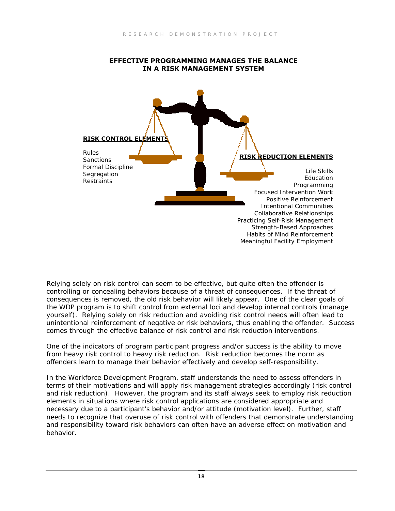#### **EFFECTIVE PROGRAMMING MANAGES THE BALANCE IN A RISK MANAGEMENT SYSTEM**



Relying solely on risk control can seem to be effective, but quite often the offender is controlling or concealing behaviors because of a threat of consequences. If the threat of consequences is removed, the old risk behavior will likely appear. One of the clear goals of the WDP program is to shift control from external loci and develop internal controls (manage yourself). Relying solely on risk reduction and avoiding risk control needs will often lead to unintentional reinforcement of negative or risk behaviors, thus enabling the offender. Success comes through the effective balance of risk control and risk reduction interventions.

One of the indicators of program participant progress and/or success is the ability to move from heavy risk control to heavy risk reduction. Risk reduction becomes the norm as offenders learn to manage their behavior effectively and develop self-responsibility.

In the Workforce Development Program, staff understands the need to assess offenders in terms of their motivations and will apply risk management strategies accordingly (risk control and risk reduction). However, the program and its staff always seek to employ risk reduction elements in situations where risk control applications are considered appropriate and necessary due to a participant's behavior and/or attitude (motivation level). Further, staff needs to recognize that overuse of risk control with offenders that demonstrate understanding and responsibility toward risk behaviors can often have an adverse effect on motivation and behavior.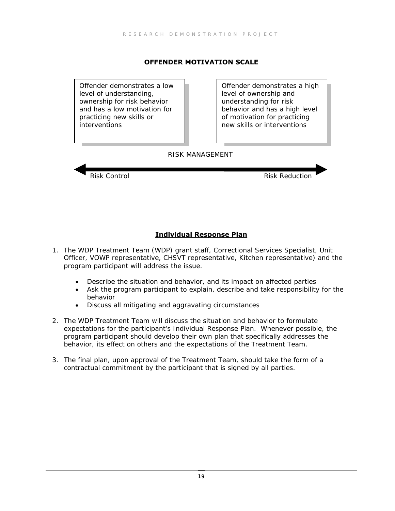#### **OFFENDER MOTIVATION SCALE**

Offender demonstrates a low level of understanding, ownership for risk behavior and has a low motivation for practicing new skills or interventions

Offender demonstrates a high level of ownership and understanding for risk behavior and has a high level of motivation for practicing new skills or interventions

#### RISK MANAGEMENT

Risk Control Risk Reduction

#### **Individual Response Plan**

- 1. The WDP Treatment Team (WDP) grant staff, Correctional Services Specialist, Unit Officer, VOWP representative, CHSVT representative, Kitchen representative) and the program participant will address the issue.
	- Describe the situation and behavior, and its impact on affected parties
	- Ask the program participant to explain, describe and take responsibility for the behavior
	- Discuss all mitigating and aggravating circumstances
- 2. The WDP Treatment Team will discuss the situation and behavior to formulate expectations for the participant's Individual Response Plan. Whenever possible, the program participant should develop their own plan that specifically addresses the behavior, its effect on others and the expectations of the Treatment Team.
- 3. The final plan, upon approval of the Treatment Team, should take the form of a contractual commitment by the participant that is signed by all parties.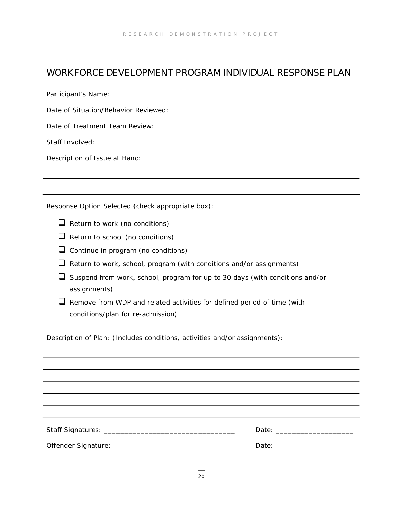#### WORKFORCE DEVELOPMENT PROGRAM INDIVIDUAL RESPONSE PLAN

| Participant's Name:                                                                                                                          |  |  |
|----------------------------------------------------------------------------------------------------------------------------------------------|--|--|
| Date of Situation/Behavior Reviewed:<br><u>and the control of the control of the control of the control of the control of the control of</u> |  |  |
| Date of Treatment Team Review:                                                                                                               |  |  |
| Staff Involved:<br><u> 1989 - Johann John Stein, markin fan it ferskearre fan it ferskearre fan it ferskearre fan it ferskearre fan</u>      |  |  |
|                                                                                                                                              |  |  |
|                                                                                                                                              |  |  |
|                                                                                                                                              |  |  |
| Response Option Selected (check appropriate box):                                                                                            |  |  |
| $\Box$ Return to work (no conditions)                                                                                                        |  |  |
| Return to school (no conditions)<br>ப                                                                                                        |  |  |
| Continue in program (no conditions)                                                                                                          |  |  |
| Return to work, school, program (with conditions and/or assignments)                                                                         |  |  |
| Suspend from work, school, program for up to 30 days (with conditions and/or<br>assignments)                                                 |  |  |
| Remove from WDP and related activities for defined period of time (with                                                                      |  |  |
| conditions/plan for re-admission)                                                                                                            |  |  |
| Description of Plan: (Includes conditions, activities and/or assignments):                                                                   |  |  |
|                                                                                                                                              |  |  |
|                                                                                                                                              |  |  |
|                                                                                                                                              |  |  |
|                                                                                                                                              |  |  |
|                                                                                                                                              |  |  |
|                                                                                                                                              |  |  |
|                                                                                                                                              |  |  |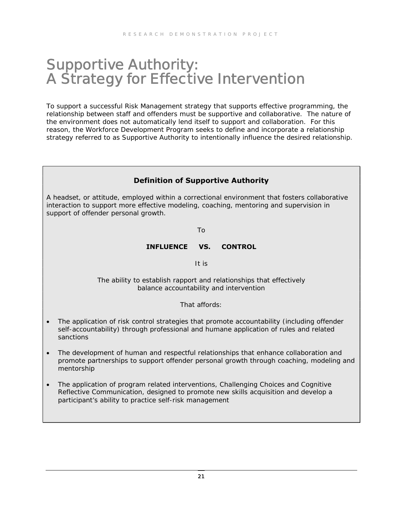# Supportive Authority: A Strategy for Effective Intervention

To support a successful Risk Management strategy that supports effective programming, the relationship between staff and offenders must be supportive and collaborative. The nature of the environment does not automatically lend itself to support and collaboration. For this reason, the Workforce Development Program seeks to define and incorporate a relationship strategy referred to as *Supportive Authority* to intentionally influence the desired relationship.

#### **Definition of Supportive Authority**

A headset, or attitude, employed within a correctional environment that fosters collaborative interaction to support more effective modeling, coaching, mentoring and supervision in support of offender personal growth.

#### To

#### **INFLUENCE VS. CONTROL**

It is

The ability to establish rapport and relationships that effectively balance accountability and intervention

#### That affords:

- sanctions The application of risk control strategies that promote accountability (including offender self-accountability) through professional and humane application of rules and related
- mentorship The development of human and respectful relationships that enhance collaboration and promote partnerships to support offender personal growth through coaching, modeling and
- The application of program related interventions, Challenging Choices and Cognitive Reflective Communication, designed to promote new skills acquisition and develop a participant's ability to practice self-risk management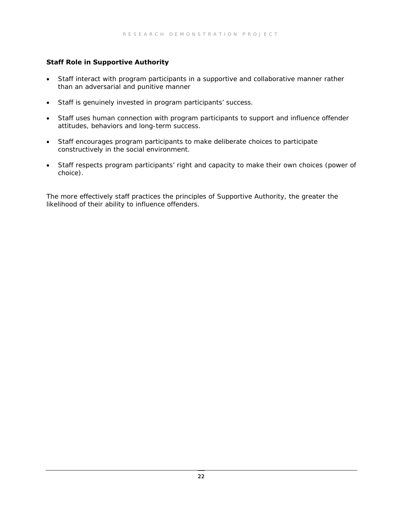#### **Staff Role in Supportive Authority**

- Staff interact with program participants in a supportive and collaborative manner rather than an adversarial and punitive manner
- Staff is genuinely invested in program participants' success.
- Staff uses human connection with program participants to support and influence offender attitudes, behaviors and long-term success.
- Staff encourages program participants to make deliberate choices to participate constructively in the social environment.
- Staff respects program participants' right and capacity to make their own choices (power of choice).

The more effectively staff practices the principles of *Supportive Authority*, the greater the likelihood of their ability to influence offenders.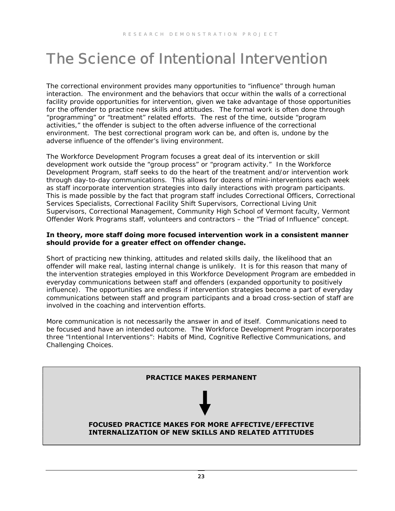# The Science of Intentional Intervention

The correctional environment provides many opportunities to "influence" through human interaction. The environment and the behaviors that occur within the walls of a correctional facility provide opportunities for intervention, given we take advantage of those opportunities for the offender to practice new skills and attitudes. The formal work is often done through "programming" or "treatment" related efforts. The rest of the time, outside "program activities," the offender is subject to the often adverse influence of the correctional environment. The best correctional program work can be, and often is, undone by the adverse influence of the offender's living environment.

The Workforce Development Program focuses a great deal of its intervention or skill development work outside the "group process" or "program activity." In the Workforce Development Program, staff seeks to do the heart of the treatment and/or intervention work through day-to-day communications. This allows for dozens of mini-interventions each week as staff incorporate intervention strategies into daily interactions with program participants. This is made possible by the fact that program staff includes Correctional Officers, Correctional Services Specialists, Correctional Facility Shift Supervisors, Correctional Living Unit Supervisors, Correctional Management, Community High School of Vermont faculty, Vermont Offender Work Programs staff, volunteers and contractors – the "Triad of Influence" concept.

#### **In theory, more staff doing more focused intervention work in a consistent manner should provide for a greater effect on offender change.**

Short of practicing new thinking, attitudes and related skills daily, the likelihood that an offender will make real, lasting internal change is unlikely. It is for this reason that many of the intervention strategies employed in this Workforce Development Program are embedded in everyday communications between staff and offenders (expanded opportunity to positively influence). The opportunities are endless if intervention strategies become a part of everyday communications between staff and program participants and a broad cross-section of staff are involved in the coaching and intervention efforts.

More communication is not necessarily the answer in and of itself. Communications need to be focused and have an intended outcome. The Workforce Development Program incorporates three "Intentional Interventions": Habits of Mind, Cognitive Reflective Communications, and Challenging Choices.

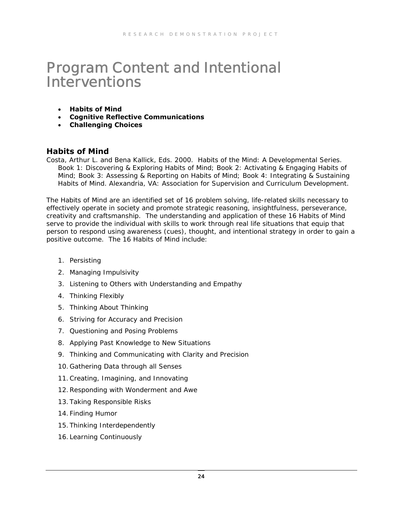### Program Content and Intentional Interventions

- **Habits of Mind**
- **Cognitive Reflective Communications**
- **Challenging Choices**

#### **Habits of Mind**

Costa, Arthur L. and Bena Kallick, Eds. 2000. *Habits of the Mind: A Developmental Series.*  Book 1: Discovering & Exploring Habits of Mind; Book 2: Activating & Engaging Habits of Mind; Book 3: Assessing & Reporting on Habits of Mind; Book 4: Integrating & Sustaining Habits of Mind. Alexandria, VA: Association for Supervision and Curriculum Development.

The *Habits of Mind* are an identified set of 16 problem solving, life-related skills necessary to effectively operate in society and promote strategic reasoning, insightfulness, perseverance, creativity and craftsmanship. The understanding and application of these 16 *Habits of Mind*  serve to provide the individual with skills to work through real life situations that equip that person to respond using awareness (cues), thought, and intentional strategy in order to gain a positive outcome. The 16 *Habits of Mind* include:

- 1. Persisting
- 2. Managing Impulsivity
- 3. Listening to Others with Understanding and Empathy
- 4. Thinking Flexibly
- 5. Thinking About Thinking
- 6. Striving for Accuracy and Precision
- 7. Questioning and Posing Problems
- 8. Applying Past Knowledge to New Situations
- 9. Thinking and Communicating with Clarity and Precision
- 10. Gathering Data through all Senses
- 11. Creating, Imagining, and Innovating
- 12. Responding with Wonderment and Awe
- 13. Taking Responsible Risks
- 14. Finding Humor
- 15. Thinking Interdependently
- 16. Learning Continuously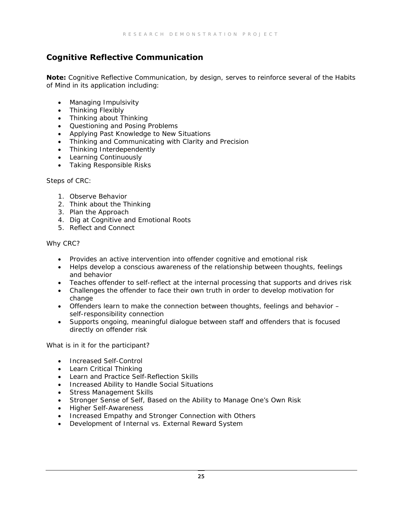#### **Cognitive Reflective Communication**

**Note:** Cognitive Reflective Communication, by design, serves to reinforce several of the *Habits of Mind* in its application including:

- Managing Impulsivity
- Thinking Flexibly
- Thinking about Thinking
- Questioning and Posing Problems
- Applying Past Knowledge to New Situations
- Thinking and Communicating with Clarity and Precision
- Thinking Interdependently
- Learning Continuously
- Taking Responsible Risks

#### Steps of CRC:

- 1. Observe Behavior
- 2. Think about the Thinking
- 3. Plan the Approach
- 4. Dig at Cognitive and Emotional Roots
- 5. Reflect and Connect

#### Why CRC?

- Provides an active intervention into offender cognitive and emotional risk
- Helps develop a conscious awareness of the relationship between thoughts, feelings and behavior
- Teaches offender to self-reflect at the internal processing that supports and drives risk
- Challenges the offender to face their own truth in order to develop motivation for change
- Offenders learn to make the connection between thoughts, feelings and behavior self-responsibility connection
- Supports ongoing, meaningful dialogue between staff and offenders that is focused directly on offender risk

What is in it for the participant?

- Increased Self-Control
- Learn Critical Thinking
- Learn and Practice Self-Reflection Skills
- Increased Ability to Handle Social Situations
- Stress Management Skills
- Stronger Sense of Self, Based on the Ability to Manage One's Own Risk
- Higher Self-Awareness
- Increased Empathy and Stronger Connection with Others
- Development of Internal vs. External Reward System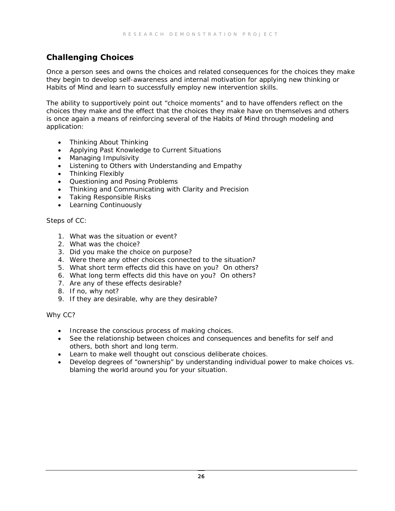#### **Challenging Choices**

Once a person sees and owns the choices and related consequences for the choices they make they begin to develop self-awareness and internal motivation for applying new thinking or *Habits of Mind* and learn to successfully employ new intervention skills.

The ability to supportively point out "choice moments" and to have offenders reflect on the choices they make and the effect that the choices they make have on themselves and others is once again a means of reinforcing several of the *Habits of Mind* through modeling and application:

- Thinking About Thinking
- Applying Past Knowledge to Current Situations
- Managing Impulsivity
- Listening to Others with Understanding and Empathy
- Thinking Flexibly
- Questioning and Posing Problems
- Thinking and Communicating with Clarity and Precision
- Taking Responsible Risks
- Learning Continuously

#### Steps of CC:

- 1. What was the situation or event?
- 2. What was the choice?
- 3. Did you make the choice on purpose?
- 4. Were there any other choices connected to the situation?
- 5. What short term effects did this have on you? On others?
- 6. What long term effects did this have on you? On others?
- 7. Are any of these effects desirable?
- 8. If no, why not?
- 9. If they are desirable, why are they desirable?

Why CC?

- Increase the conscious process of making choices.
- See the relationship between choices and consequences and benefits for self and others, both short and long term.
- Learn to make well thought out conscious deliberate choices.
- Develop degrees of "ownership" by understanding individual power to make choices vs. blaming the world around you for your situation.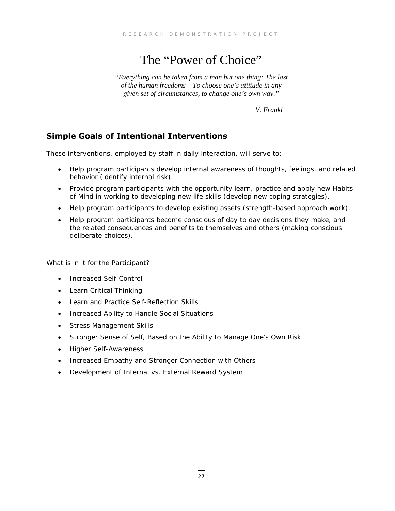### The "Power of Choice"

*"Everything can be taken from a man but one thing: The last of the human freedoms – To choose one's attitude in any given set of circumstances, to change one's own way."* 

*V. Frankl* 

#### **Simple Goals of Intentional Interventions**

These interventions, employed by staff in daily interaction, will serve to:

- Help program participants develop internal awareness of thoughts, feelings, and related behavior (identify internal risk).
- Provide program participants with the opportunity learn, practice and apply new *Habits of Mind* in working to developing new life skills (develop new coping strategies).
- Help program participants to develop existing assets (strength-based approach work).
- Help program participants become conscious of day to day decisions they make, and the related consequences and benefits to themselves and others (making conscious deliberate choices).

What is in it for the Participant?

- Increased Self-Control
- Learn Critical Thinking
- Learn and Practice Self-Reflection Skills
- Increased Ability to Handle Social Situations
- Stress Management Skills
- Stronger Sense of Self, Based on the Ability to Manage One's Own Risk
- Higher Self-Awareness
- Increased Empathy and Stronger Connection with Others
- Development of Internal vs. External Reward System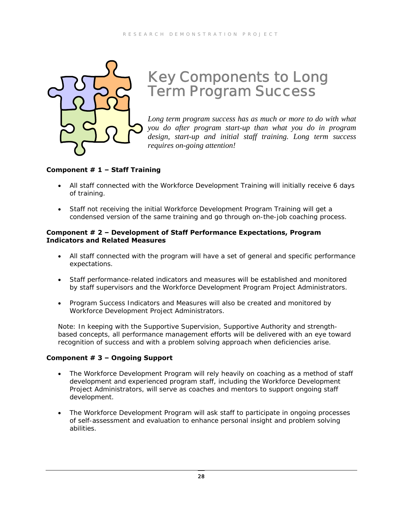

# Key Components to Long Term Program Success

*Long term program success has as much or more to do with what you do after program start-up than what you do in program design, start-up and initial staff training. Long term success requires on-going attention!* 

#### **Component # 1 – Staff Training**

- All staff connected with the Workforce Development Training will initially receive 6 days of training.
- Staff not receiving the initial Workforce Development Program Training will get a condensed version of the same training and go through on-the-job coaching process.

#### **Component # 2 – Development of Staff Performance Expectations, Program Indicators and Related Measures**

- All staff connected with the program will have a set of general and specific performance expectations.
- Staff performance-related indicators and measures will be established and monitored by staff supervisors and the Workforce Development Program Project Administrators.
- Program Success Indicators and Measures will also be created and monitored by Workforce Development Project Administrators.

Note: In keeping with the Supportive Supervision, Supportive Authority and strengthbased concepts, all performance management efforts will be delivered with an eye toward recognition of success and with a problem solving approach when deficiencies arise.

#### **Component # 3 – Ongoing Support**

- The Workforce Development Program will rely heavily on coaching as a method of staff development and experienced program staff, including the Workforce Development Project Administrators, will serve as coaches and mentors to support ongoing staff development.
- The Workforce Development Program will ask staff to participate in ongoing processes of self-assessment and evaluation to enhance personal insight and problem solving abilities.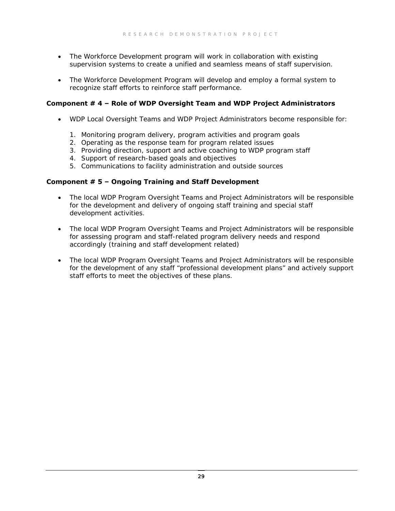- The Workforce Development program will work in collaboration with existing supervision systems to create a unified and seamless means of staff supervision.
- The Workforce Development Program will develop and employ a formal system to recognize staff efforts to reinforce staff performance.

#### **Component # 4 – Role of WDP Oversight Team and WDP Project Administrators**

- WDP Local Oversight Teams and WDP Project Administrators become responsible for:
	- 1. Monitoring program delivery, program activities and program goals
	- 2. Operating as the response team for program related issues
	- 3. Providing direction, support and active coaching to WDP program staff
	- 4. Support of research-based goals and objectives
	- 5. Communications to facility administration and outside sources

#### **Component # 5 – Ongoing Training and Staff Development**

- The local WDP Program Oversight Teams and Project Administrators will be responsible for the development and delivery of ongoing staff training and special staff development activities.
- The local WDP Program Oversight Teams and Project Administrators will be responsible for assessing program and staff-related program delivery needs and respond accordingly (training and staff development related)
- The local WDP Program Oversight Teams and Project Administrators will be responsible for the development of any staff "professional development plans" and actively support staff efforts to meet the objectives of these plans.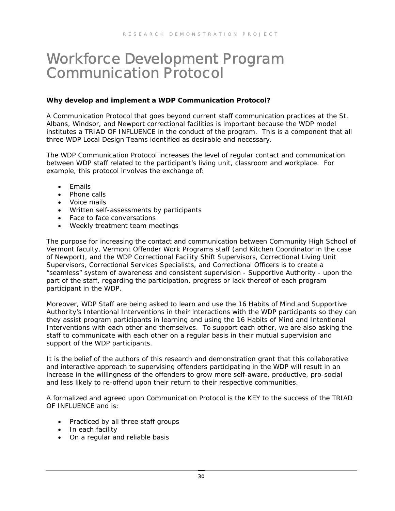## Workforce Development Program Communication Protocol

#### *Why develop and implement a WDP Communication Protocol?*

A Communication Protocol that goes beyond current staff communication practices at the St. Albans, Windsor, and Newport correctional facilities is important because the WDP model institutes a TRIAD OF INFLUENCE in the conduct of the program. This is a component that all three WDP Local Design Teams identified as desirable and necessary.

The WDP Communication Protocol increases the level of regular contact and communication between WDP staff related to the participant's living unit, classroom and workplace. For example, this protocol involves the exchange of:

- Emails
- Phone calls
- Voice mails
- Written self-assessments by participants
- Face to face conversations
- Weekly treatment team meetings

The purpose for increasing the contact and communication between Community High School of Vermont faculty, Vermont Offender Work Programs staff (and Kitchen Coordinator in the case of Newport), and the WDP Correctional Facility Shift Supervisors, Correctional Living Unit Supervisors, Correctional Services Specialists, and Correctional Officers is *to create a "seamless" system of awareness and consistent supervision - Supportive Authority - upon the part of the staff, regarding the participation, progress or lack thereof of each program participant in the WDP*.

Moreover, WDP Staff are being asked to learn and use the 16 *Habits of Mind* and Supportive Authority's Intentional Interventions in their interactions with the WDP participants so they can they assist program participants in learning and using the 16 *Habits of Mind* and Intentional Interventions with each other and themselves. To support each other, we are also asking the staff to communicate with each other on a regular basis in their *mutual supervision and support of the WDP participants.* 

It is the belief of the authors of this research and demonstration grant that this collaborative and interactive approach to supervising offenders participating in the WDP will result in an increase in the willingness of the offenders to grow more self-aware, productive, pro-social and less likely to re-offend upon their return to their respective communities.

A formalized and agreed upon Communication Protocol is the KEY to the success of the TRIAD OF INFLUENCE and is:

- Practiced by all three staff groups
- In each facility
- On a regular and reliable basis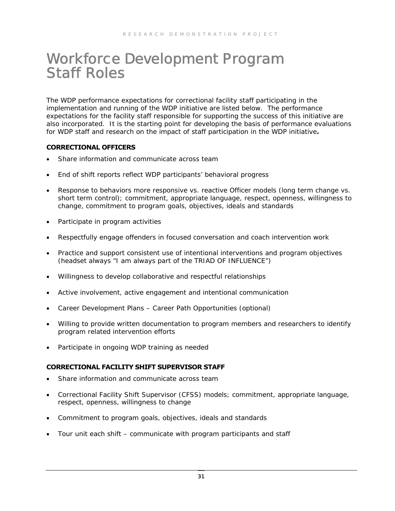## Workforce Development Program Staff Roles

The WDP performance expectations for correctional facility staff participating in the implementation and running of the WDP initiative are listed below. The performance expectations for the facility staff responsible for supporting the success of this initiative are also incorporated. It is the starting point for developing the basis of performance evaluations for WDP staff and research on the impact of staff participation in the WDP initiative**.** 

#### **CORRECTIONAL OFFICERS**

- Share information and communicate across team
- End of shift reports reflect WDP participants' behavioral progress
- Response to behaviors more responsive vs. reactive Officer models (long term change vs. short term control); commitment, appropriate language, respect, openness, willingness to change, commitment to program goals, objectives, ideals and standards
- Participate in program activities
- Respectfully engage offenders in focused conversation and coach intervention work
- Practice and support consistent use of intentional interventions and program objectives (headset always "I am always part of the TRIAD OF INFLUENCE")
- Willingness to develop collaborative and respectful relationships
- Active involvement, active engagement and intentional communication
- Career Development Plans Career Path Opportunities (optional)
- Willing to provide written documentation to program members and researchers to identify program related intervention efforts
- Participate in ongoing WDP training as needed

#### **CORRECTIONAL FACILITY SHIFT SUPERVISOR STAFF**

- Share information and communicate across team
- Correctional Facility Shift Supervisor (CFSS) models; commitment, appropriate language, respect, openness, willingness to change
- Commitment to program goals, objectives, ideals and standards
- Tour unit each shift communicate with program participants and staff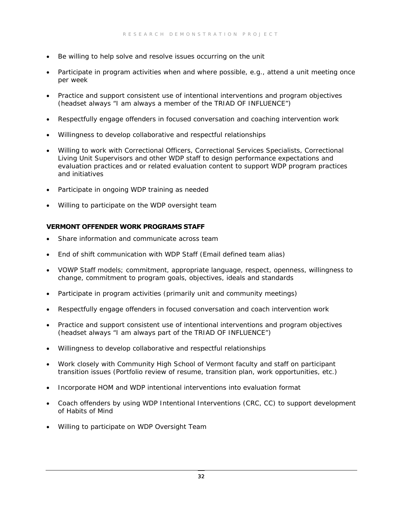- Be willing to help solve and resolve issues occurring on the unit
- Participate in program activities when and where possible, e.g., attend a unit meeting once per week
- Practice and support consistent use of intentional interventions and program objectives (headset always "I am always a member of the TRIAD OF INFLUENCE")
- Respectfully engage offenders in focused conversation and coaching intervention work
- Willingness to develop collaborative and respectful relationships
- Willing to work with Correctional Officers, Correctional Services Specialists, Correctional Living Unit Supervisors and other WDP staff to design performance expectations and evaluation practices and or related evaluation content to support WDP program practices and initiatives
- Participate in ongoing WDP training as needed
- Willing to participate on the WDP oversight team

#### **VERMONT OFFENDER WORK PROGRAMS STAFF**

- Share information and communicate across team
- End of shift communication with WDP Staff (Email defined team alias)
- VOWP Staff models; commitment, appropriate language, respect, openness, willingness to change, commitment to program goals, objectives, ideals and standards
- Participate in program activities (primarily unit and community meetings)
- Respectfully engage offenders in focused conversation and coach intervention work
- Practice and support consistent use of intentional interventions and program objectives (headset always "I am always part of the TRIAD OF INFLUENCE")
- Willingness to develop collaborative and respectful relationships
- Work closely with Community High School of Vermont faculty and staff on participant transition issues (Portfolio review of resume, transition plan, work opportunities, etc.)
- Incorporate HOM and WDP intentional interventions into evaluation format
- Coach offenders by using WDP Intentional Interventions (CRC, CC) to support development of *Habits of Mind*
- Willing to participate on WDP Oversight Team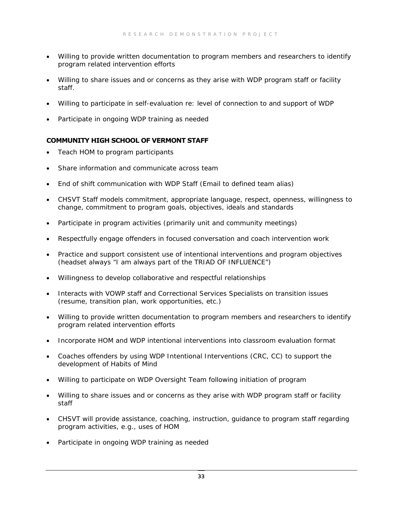- Willing to provide written documentation to program members and researchers to identify program related intervention efforts
- Willing to share issues and or concerns as they arise with WDP program staff or facility staff.
- Willing to participate in self-evaluation re: level of connection to and support of WDP
- Participate in ongoing WDP training as needed

#### **COMMUNITY HIGH SCHOOL OF VERMONT STAFF**

- Teach HOM to program participants
- Share information and communicate across team
- End of shift communication with WDP Staff (Email to defined team alias)
- CHSVT Staff models commitment, appropriate language, respect, openness, willingness to change, commitment to program goals, objectives, ideals and standards
- Participate in program activities (primarily unit and community meetings)
- Respectfully engage offenders in focused conversation and coach intervention work
- Practice and support consistent use of intentional interventions and program objectives (headset always "I am always part of the TRIAD OF INFLUENCE")
- Willingness to develop collaborative and respectful relationships
- Interacts with VOWP staff and Correctional Services Specialists on transition issues (resume, transition plan, work opportunities, etc.)
- Willing to provide written documentation to program members and researchers to identify program related intervention efforts
- Incorporate HOM and WDP intentional interventions into classroom evaluation format
- Coaches offenders by using WDP Intentional Interventions (CRC, CC) to support the development of *Habits of Mind*
- Willing to participate on WDP Oversight Team following initiation of program
- Willing to share issues and or concerns as they arise with WDP program staff or facility staff
- CHSVT will provide assistance, coaching, instruction, guidance to program staff regarding program activities, e.g., uses of HOM
- Participate in ongoing WDP training as needed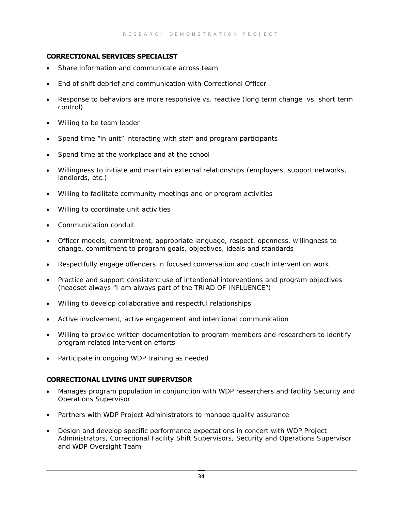#### **CORRECTIONAL SERVICES SPECIALIST**

- Share information and communicate across team
- End of shift debrief and communication with Correctional Officer
- Response to behaviors are more responsive vs. reactive (long term change vs. short term control)
- Willing to be team leader
- Spend time "in unit" interacting with staff and program participants
- Spend time at the workplace and at the school
- Willingness to initiate and maintain external relationships (employers, support networks, landlords, etc.)
- Willing to facilitate community meetings and or program activities
- Willing to coordinate unit activities
- Communication conduit
- Officer models; commitment, appropriate language, respect, openness, willingness to change, commitment to program goals, objectives, ideals and standards
- Respectfully engage offenders in focused conversation and coach intervention work
- Practice and support consistent use of intentional interventions and program objectives (headset always "I am always part of the TRIAD OF INFLUENCE")
- Willing to develop collaborative and respectful relationships
- Active involvement, active engagement and intentional communication
- Willing to provide written documentation to program members and researchers to identify program related intervention efforts
- Participate in ongoing WDP training as needed

#### **CORRECTIONAL LIVING UNIT SUPERVISOR**

- Manages program population in conjunction with WDP researchers and facility Security and Operations Supervisor
- Partners with WDP Project Administrators to manage quality assurance
- Design and develop specific performance expectations in concert with WDP Project Administrators, Correctional Facility Shift Supervisors, Security and Operations Supervisor and WDP Oversight Team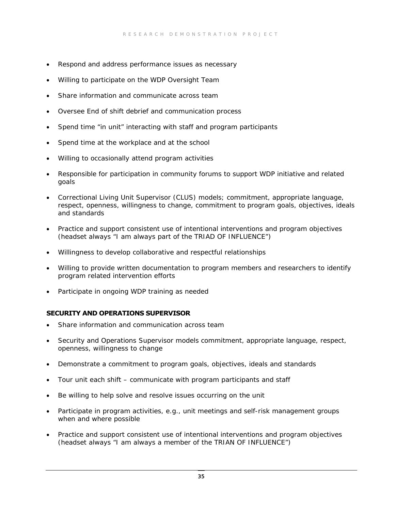- Respond and address performance issues as necessary
- Willing to participate on the WDP Oversight Team
- Share information and communicate across team
- Oversee End of shift debrief and communication process
- Spend time "in unit" interacting with staff and program participants
- Spend time at the workplace and at the school
- Willing to occasionally attend program activities
- Responsible for participation in community forums to support WDP initiative and related goals
- Correctional Living Unit Supervisor (CLUS) models; commitment, appropriate language, respect, openness, willingness to change, commitment to program goals, objectives, ideals and standards
- Practice and support consistent use of intentional interventions and program objectives (headset always "I am always part of the TRIAD OF INFLUENCE")
- Willingness to develop collaborative and respectful relationships
- Willing to provide written documentation to program members and researchers to identify program related intervention efforts
- Participate in ongoing WDP training as needed

#### **SECURITY AND OPERATIONS SUPERVISOR**

- Share information and communication across team
- Security and Operations Supervisor models commitment, appropriate language, respect, openness, willingness to change
- Demonstrate a commitment to program goals, objectives, ideals and standards
- Tour unit each shift communicate with program participants and staff
- Be willing to help solve and resolve issues occurring on the unit
- Participate in program activities, e.g., unit meetings and self-risk management groups when and where possible
- Practice and support consistent use of intentional interventions and program objectives (headset always "I am always a member of the TRIAN OF INFLUENCE")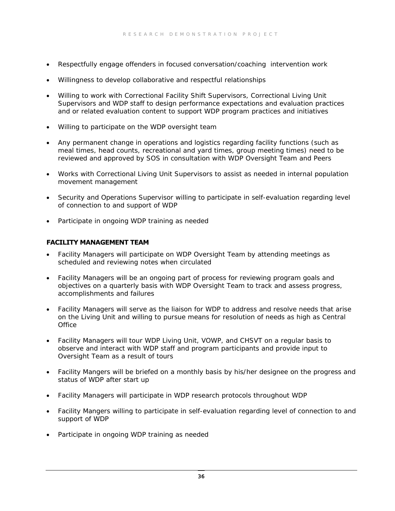- Respectfully engage offenders in focused conversation/coaching intervention work
- Willingness to develop collaborative and respectful relationships
- Willing to work with Correctional Facility Shift Supervisors, Correctional Living Unit Supervisors and WDP staff to design performance expectations and evaluation practices and or related evaluation content to support WDP program practices and initiatives
- Willing to participate on the WDP oversight team
- Any permanent change in operations and logistics regarding facility functions (such as meal times, head counts, recreational and yard times, group meeting times) need to be reviewed and approved by SOS in consultation with WDP Oversight Team and Peers
- Works with Correctional Living Unit Supervisors to assist as needed in internal population movement management
- Security and Operations Supervisor willing to participate in self-evaluation regarding level of connection to and support of WDP
- Participate in ongoing WDP training as needed

#### **FACILITY MANAGEMENT TEAM**

- Facility Managers will participate on WDP Oversight Team by attending meetings as scheduled and reviewing notes when circulated
- Facility Managers will be an ongoing part of process for reviewing program goals and objectives on a quarterly basis with WDP Oversight Team to track and assess progress, accomplishments and failures
- Facility Managers will serve as the liaison for WDP to address and resolve needs that arise on the Living Unit and willing to pursue means for resolution of needs as high as Central **Office**
- Facility Managers will tour WDP Living Unit, VOWP, and CHSVT on a regular basis to observe and interact with WDP staff and program participants and provide input to Oversight Team as a result of tours
- Facility Mangers will be briefed on a monthly basis by his/her designee on the progress and status of WDP after start up
- Facility Managers will participate in WDP research protocols throughout WDP
- Facility Mangers willing to participate in self-evaluation regarding level of connection to and support of WDP
- Participate in ongoing WDP training as needed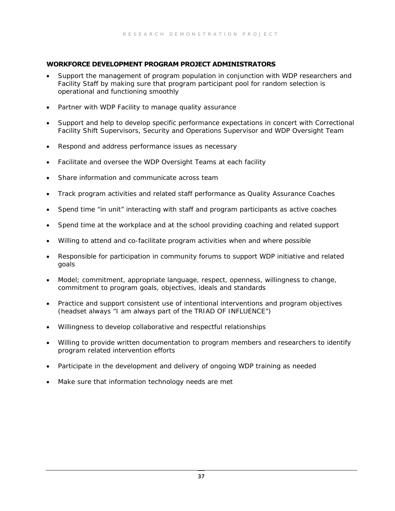#### **WORKFORCE DEVELOPMENT PROGRAM PROJECT ADMINISTRATORS**

- Support the management of program population in conjunction with WDP researchers and Facility Staff by making sure that program participant pool for random selection is operational and functioning smoothly
- Partner with WDP Facility to manage quality assurance
- Support and help to develop specific performance expectations in concert with Correctional Facility Shift Supervisors, Security and Operations Supervisor and WDP Oversight Team
- Respond and address performance issues as necessary
- Facilitate and oversee the WDP Oversight Teams at each facility
- Share information and communicate across team
- Track program activities and related staff performance as Quality Assurance Coaches
- Spend time "in unit" interacting with staff and program participants as active coaches
- Spend time at the workplace and at the school providing coaching and related support
- Willing to attend and co-facilitate program activities when and where possible
- Responsible for participation in community forums to support WDP initiative and related goals
- Model; commitment, appropriate language, respect, openness, willingness to change, commitment to program goals, objectives, ideals and standards
- Practice and support consistent use of intentional interventions and program objectives (headset always "I am always part of the TRIAD OF INFLUENCE")
- Willingness to develop collaborative and respectful relationships
- Willing to provide written documentation to program members and researchers to identify program related intervention efforts
- Participate in the development and delivery of ongoing WDP training as needed
- Make sure that information technology needs are met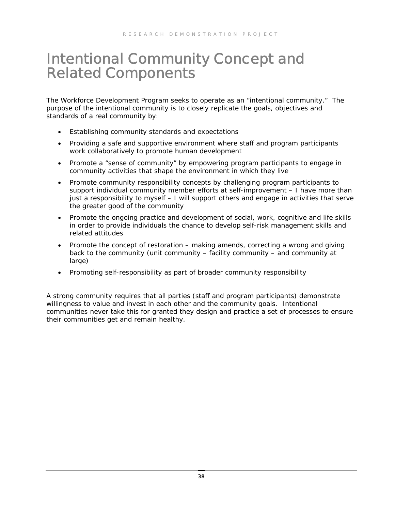## Intentional Community Concept and Related Components

The Workforce Development Program seeks to operate as an "intentional community." The purpose of the intentional community is to closely replicate the goals, objectives and standards of a real community by:

- Establishing community standards and expectations
- Providing a safe and supportive environment where staff and program participants work collaboratively to promote human development
- Promote a "sense of community" by empowering program participants to engage in community activities that shape the environment in which they live
- Promote community responsibility concepts by challenging program participants to support individual community member efforts at self-improvement – I have more than just a responsibility to myself – I will support others and engage in activities that serve the greater good of the community
- Promote the ongoing practice and development of social, work, cognitive and life skills in order to provide individuals the chance to develop self-risk management skills and related attitudes
- Promote the concept of restoration making amends, correcting a wrong and giving back to the community (unit community – facility community – and community at large)
- Promoting self-responsibility as part of broader community responsibility

A strong community requires that all parties (staff and program participants) demonstrate willingness to value and invest in each other and the community goals. Intentional communities never take this for granted they design and practice a set of processes to ensure their communities get and remain healthy.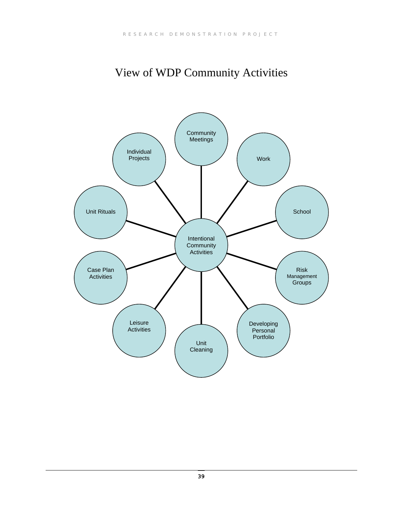### View of WDP Community Activities

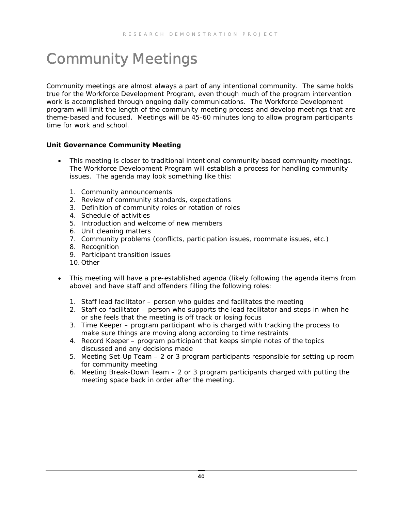# Community Meetings

Community meetings are almost always a part of any intentional community. The same holds true for the Workforce Development Program, even though much of the program intervention work is accomplished through ongoing daily communications. The Workforce Development program will limit the length of the community meeting process and develop meetings that are theme-based and focused. Meetings will be 45-60 minutes long to allow program participants time for work and school.

#### **Unit Governance Community Meeting**

- This meeting is closer to traditional intentional community based community meetings. The Workforce Development Program will establish a process for handling community issues. The agenda may look something like this:
	- 1. Community announcements
	- 2. Review of community standards, expectations
	- 3. Definition of community roles or rotation of roles
	- 4. Schedule of activities
	- 5. Introduction and welcome of new members
	- 6. Unit cleaning matters
	- 7. Community problems (conflicts, participation issues, roommate issues, etc.)
	- 8. Recognition
	- 9. Participant transition issues
	- 10. Other
- This meeting will have a pre-established agenda (likely following the agenda items from above) and have staff and offenders filling the following roles:
	- 1. Staff lead facilitator person who guides and facilitates the meeting
	- 2. Staff co-facilitator person who supports the lead facilitator and steps in when he or she feels that the meeting is off track or losing focus
	- 3. Time Keeper program participant who is charged with tracking the process to make sure things are moving along according to time restraints
	- 4. Record Keeper program participant that keeps simple notes of the topics discussed and any decisions made
	- 5. Meeting Set-Up Team 2 or 3 program participants responsible for setting up room for community meeting
	- 6. Meeting Break-Down Team 2 or 3 program participants charged with putting the meeting space back in order after the meeting.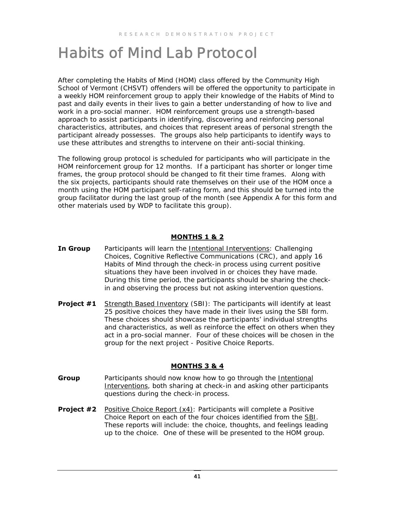# Habits of Mind Lab Protocol

After completing the Habits of Mind (HOM) class offered by the Community High School of Vermont (CHSVT) offenders will be offered the opportunity to participate in a weekly HOM reinforcement group to apply their knowledge of the *Habits of Mind* to past and daily events in their lives to gain a better understanding of how to live and work in a pro-social manner. HOM reinforcement groups use a strength-based approach to assist participants in identifying, discovering and reinforcing personal characteristics, attributes, and choices that represent areas of personal strength the participant already possesses. The groups also help participants to identify ways to use these attributes and strengths to intervene on their anti-social thinking.

The following group protocol is scheduled for participants who will participate in the HOM reinforcement group for 12 months. If a participant has shorter or longer time frames, the group protocol should be changed to fit their time frames. Along with the six projects, participants should rate themselves on their use of the HOM once a month using the HOM participant self-rating form, and this should be turned into the group facilitator during the last group of the month (see Appendix A for this form and other materials used by WDP to facilitate this group).

#### **MONTHS 1 & 2**

- **In Group** Participants will learn the Intentional Interventions: Challenging Choices, Cognitive Reflective Communications (CRC), and apply 16 *Habits of Mind* through the check-in process using current positive situations they have been involved in or choices they have made. During this time period, the participants should be sharing the checkin and observing the process but not asking intervention questions.
- **Project #1** Strength Based Inventory (SBI): The participants will identify at least 25 positive choices they have made in their lives using the SBI form. These choices should showcase the participants' individual strengths and characteristics, as well as reinforce the effect on others when they act in a pro-social manner. Four of these choices will be chosen in the group for the next project - Positive Choice Reports.

#### **MONTHS 3 & 4**

- **Group** Participants should now know how to go through the Intentional Interventions, both sharing at check-in and asking other participants questions during the check-in process.
- **Project #2** Positive Choice Report (x4): Participants will complete a Positive Choice Report on each of the four choices identified from the SBI. These reports will include: the choice, thoughts, and feelings leading up to the choice. One of these will be presented to the HOM group.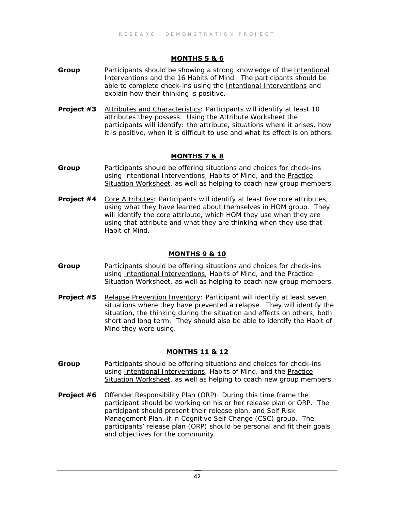#### **MONTHS 5 & 6**

- **Group** Participants should be showing a strong knowledge of the Intentional Interventions and the 16 *Habits of Mind*. The participants should be able to complete check-ins using the Intentional Interventions and explain how their thinking is positive.
- **Project #3** Attributes and Characteristics: Participants will identify at least 10 attributes they possess. Using the Attribute Worksheet the participants will identify: the attribute, situations where it arises, how it is positive, when it is difficult to use and what its effect is on others.

#### **MONTHS 7 & 8**

- **Group** Participants should be offering situations and choices for check-ins using Intentional Interventions, *Habits of Mind*, and the Practice Situation Worksheet, as well as helping to coach new group members.
- **Project #4** Core Attributes: Participants will identify at least five core attributes, using what they have learned about themselves in HOM group. They will identify the core attribute, which HOM they use when they are using that attribute and what they are thinking when they use that *Habit of Mind*.

#### **MONTHS 9 & 10**

- **Group** Participants should be offering situations and choices for check-ins using Intentional Interventions, *Habits of Mind*, and the Practice Situation Worksheet, as well as helping to coach new group members.
- **Project #5** Relapse Prevention Inventory: Participant will identify at least seven situations where they have prevented a relapse. They will identify the situation, the thinking during the situation and effects on others, both short and long term. They should also be able to identify the *Habit of Mind* they were using.

#### **MONTHS 11 & 12**

- **Group** Participants should be offering situations and choices for check-ins using Intentional Interventions, *Habits of Mind*, and the Practice Situation Worksheet, as well as helping to coach new group members.
- **Project #6** Offender Responsibility Plan (ORP): During this time frame the participant should be working on his or her release plan or ORP. The participant should present their release plan, and Self Risk Management Plan, if in Cognitive Self Change (CSC) group. The participants' release plan (ORP) should be personal and fit their goals and objectives for the community.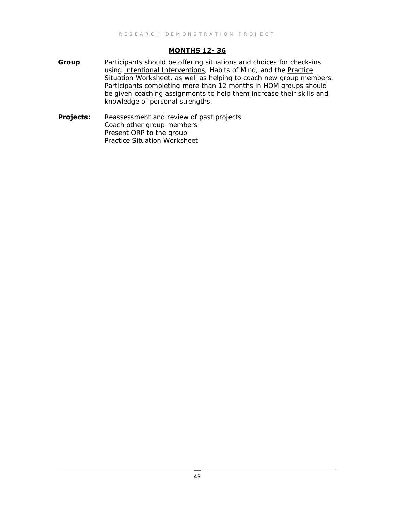#### **MONTHS 12- 36**

- **Group** Participants should be offering situations and choices for check-ins using Intentional Interventions, *Habits of Mind*, and the Practice Situation Worksheet, as well as helping to coach new group members. Participants completing more than 12 months in HOM groups should be given coaching assignments to help them increase their skills and knowledge of personal strengths.
- **Projects:** Reassessment and review of past projects Coach other group members Present ORP to the group Practice Situation Worksheet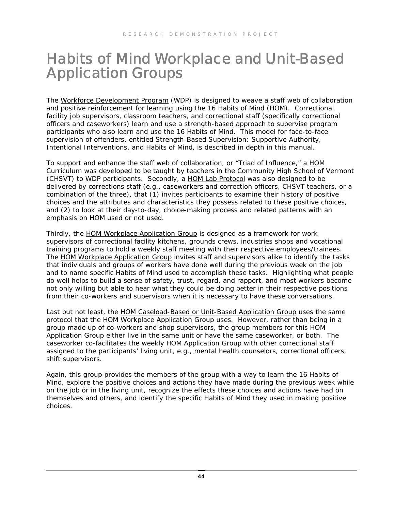## Habits of Mind Workplace and Unit-Based Application Groups

The Workforce Development Program (WDP) is designed to weave a staff web of collaboration and positive reinforcement for learning using the 16 *Habits of Mind* (HOM). Correctional facility job supervisors, classroom teachers, and correctional staff (specifically correctional officers and caseworkers) learn and use a strength-based approach to supervise program participants who also learn and use the 16 *Habits of Mind*. This model for face-to-face supervision of offenders, entitled *Strength-Based Supervision: Supportive Authority, Intentional Interventions, and Habits of Mind*, is described in depth in this manual.

To support and enhance the staff web of collaboration, or "Triad of Influence," a HOM Curriculum was developed to be taught by teachers in the Community High School of Vermont (CHSVT) to WDP participants. Secondly, a HOM Lab Protocol was also designed to be delivered by corrections staff (e.g., caseworkers and correction officers, CHSVT teachers, or a combination of the three), that (1) invites participants to examine their history of positive choices and the attributes and characteristics they possess related to these positive choices, and (2) to look at their day-to-day, choice-making process and related patterns with an emphasis on HOM used or not used.

Thirdly, the HOM Workplace Application Group is designed as a framework for work supervisors of correctional facility kitchens, grounds crews, industries shops and vocational training programs to hold a weekly staff meeting with their respective employees/trainees. The HOM Workplace Application Group invites staff and supervisors alike to identify the tasks that individuals and groups of workers have done well during the previous week on the job and to name specific *Habits of Mind* used to accomplish these tasks. Highlighting what people do well helps to build a sense of safety, trust, regard, and rapport, and most workers become not only willing *but able* to hear what they could be doing better in their respective positions from their co-workers and supervisors when it is necessary to have these conversations.

Last but not least, the HOM Caseload-Based or Unit-Based Application Group uses the same protocol that the HOM Workplace Application Group uses. However, rather than being in a group made up of co-workers and shop supervisors, the group members for this HOM Application Group either live in the same unit or have the same caseworker, or both. The caseworker co-facilitates the weekly HOM Application Group with other correctional staff assigned to the participants' living unit, e.g., mental health counselors, correctional officers, shift supervisors.

Again, this group provides the members of the group with a way to learn the 16 *Habits of Mind*, explore the positive choices and actions they have made during the previous week while on the job or in the living unit, recognize the effects these choices and actions have had on themselves and others, and identify the specific *Habits of Mind* they used in making positive choices.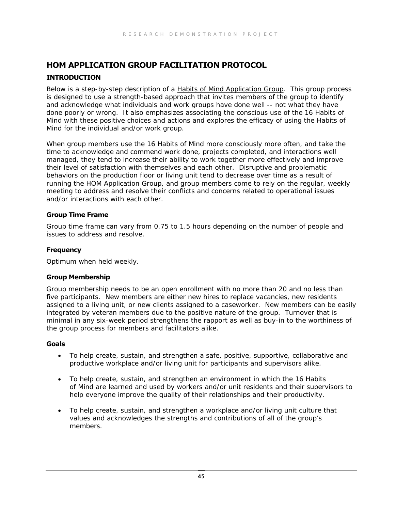#### **HOM APPLICATION GROUP FACILITATION PROTOCOL**

#### **INTRODUCTION**

Below is a step-by-step description of a Habits of Mind Application Group. This group process is designed to use a strength-based approach that invites members of the group to identify and acknowledge what individuals and work groups have done well -- not what they have done poorly or wrong. It also emphasizes associating the conscious use of the 16 *Habits of Mind* with these positive choices and actions and explores the efficacy of using the Habits of Mind for the individual and/or work group.

When group members use the 16 *Habits of Mind* more consciously more often, and take the time to acknowledge and commend work done, projects completed, and interactions well managed, they tend to increase their ability to work together more effectively and improve their level of satisfaction with themselves and each other. Disruptive and problematic behaviors on the production floor or living unit tend to decrease over time as a result of running the HOM Application Group, and group members come to rely on the regular, weekly meeting to address and resolve their conflicts and concerns related to operational issues and/or interactions with each other.

#### **Group Time Frame**

Group time frame can vary from 0.75 to 1.5 hours depending on the number of people and issues to address and resolve.

#### **Frequency**

Optimum when held weekly.

#### **Group Membership**

Group membership needs to be an open enrollment with no more than 20 and no less than five participants. New members are either new hires to replace vacancies, new residents assigned to a living unit, or new clients assigned to a caseworker. New members can be easily integrated by veteran members due to the positive nature of the group. Turnover that is minimal in any six-week period strengthens the rapport as well as buy-in to the worthiness of the group process for members and facilitators alike.

#### **Goals**

- To help create, sustain, and strengthen a safe, positive, supportive, collaborative and productive workplace and/or living unit for participants and supervisors alike.
- To help create, sustain, and strengthen an environment in which the 16 *Habits of Mind* are learned and used by workers and/or unit residents and their supervisors to help everyone improve the quality of their relationships and their productivity.
- To help create, sustain, and strengthen a workplace and/or living unit culture that values and acknowledges the strengths and contributions of all of the group's members.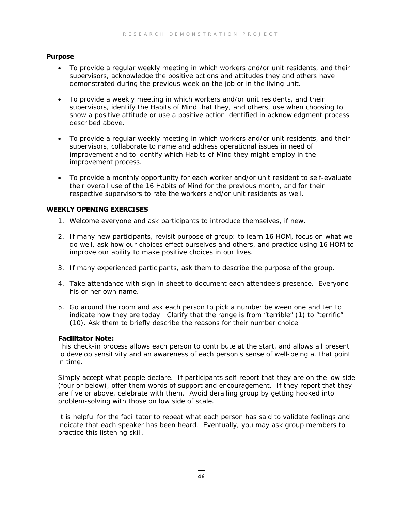#### **Purpose**

- To provide a regular weekly meeting in which workers and/or unit residents, and their supervisors, *acknowledge the positive actions and attitudes* they and others have demonstrated during the previous week on the job or in the living unit.
- To provide a weekly meeting in which workers and/or unit residents, and their supervisors, identify the *Habits of Mind* that they, and others, use when choosing to show a positive attitude or use a positive action identified in acknowledgment process described above.
- To provide a regular weekly meeting in which workers and/or unit residents, and their supervisors, collaborate to name and address operational issues in need of improvement and to identify which *Habits of Mind* they might employ in the improvement process.
- To provide a monthly opportunity for each worker and/or unit resident to self-evaluate their overall use of the 16 *Habits of Mind* for the previous month, and for their respective supervisors to rate the workers and/or unit residents as well.

#### **WEEKLY OPENING EXERCISES**

- 1. Welcome everyone and ask participants to introduce themselves, if new.
- 2. *If many new participants, revisit purpose of group*: to learn 16 *HOM*, focus on what we do well, ask how our choices effect ourselves and others, and practice using 16 *HOM* to improve our ability to make positive choices in our lives.
- 3. *If many experienced participants*, ask them to describe the purpose of the group.
- 4. Take attendance with sign-in sheet to document each attendee's presence. Everyone his or her own name.
- 5. Go around the room and ask each person to pick a number between one and ten to indicate how they are today. Clarify that the range is from "terrible" (1) to "terrific" (10). Ask them *to briefly describe* the reasons for their number choice.

#### **Facilitator Note:**

This check-in process allows each person to contribute at the start, and allows all present to develop sensitivity and an awareness of each person's sense of well-being at that point in time.

*Simply accept what people declare*. If participants self-report that they are on the low side (four or below), offer them words of support and encouragement. If they report that they are five or above, celebrate with them. *Avoid derailing group by getting hooked into problem-solving with those on low side of scale*.

It is helpful for the facilitator to repeat what each person has said to validate feelings and indicate that each speaker has been heard*. Eventually, you may ask group members to practice this listening skill.*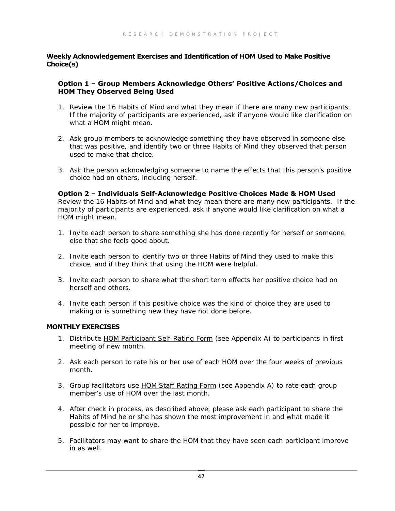#### **Weekly Acknowledgement Exercises and Identification of HOM Used to Make Positive Choice(s)**

#### **Option 1 – Group Members Acknowledge Others' Positive Actions/Choices and HOM They Observed Being Used**

- 1. Review the 16 *Habits of Mind* and what they mean *if there are many new participants.*  If the majority of participants are experienced, ask if anyone would like clarification on what a *HOM* might mean.
- 2. Ask group members to acknowledge something they have observed in someone else that was positive, and identify two or three *Habits of Mind* they observed that person used to make that choice.
- 3. Ask the person acknowledging someone to name the effects that this person's positive choice had on others, including herself.

#### **Option 2 – Individuals Self-Acknowledge Positive Choices Made & HOM Used**

Review the 16 *Habits of Mind* and what they mean *there are many new participants*. If the majority of participants are experienced, ask if anyone would like clarification on what a *HOM* might mean.

- 1. Invite each person to share something she has done recently for herself or someone else that she feels good about.
- 2. Invite each person to identify two or three *Habits of Mind* they used to make this choice, and if they think that using the *HOM* were helpful.
- 3. Invite each person to share what the short term effects her positive choice had on herself and others.
- 4. Invite each person if this positive choice was the kind of choice they are used to making or is something new they have not done before.

#### **MONTHLY EXERCISES**

- 1. Distribute HOM Participant Self-Rating Form (see Appendix A) to participants in first meeting of new month.
- 2. Ask each person to rate his or her use of each *HOM* over the four weeks of previous month.
- 3. Group facilitators use **HOM Staff Rating Form** (see Appendix A) to rate each group member's use of *HOM* over the last month.
- 4. After check in process, as described above, please ask each participant to share the *Habits of Mind* he or she has shown the most improvement in and what made it possible for her to improve.
- 5. Facilitators may want to share the *HOM* that they have seen each participant improve in as well.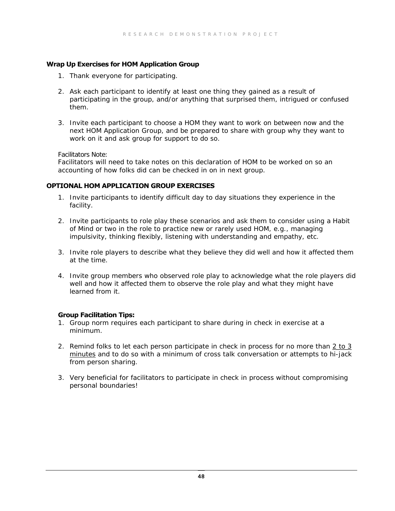#### **Wrap Up Exercises for HOM Application Group**

- 1. Thank everyone for participating.
- 2. Ask each participant to identify at least one thing they gained as a result of participating in the group, and/or anything that surprised them, intrigued or confused them.
- 3. Invite each participant to choose a *HOM* they want to work on between now and the next HOM Application Group, and be prepared to share with group why they want to work on it and ask group for support to do so.

#### Facilitators Note:

Facilitators will need to take notes on this declaration of *HOM* to be worked on so an accounting of how folks did can be checked in on in next group.

#### **OPTIONAL HOM APPLICATION GROUP EXERCISES**

- 1. Invite participants to identify difficult day to day situations they experience in the facility.
- 2. Invite participants to role play these scenarios and ask them to consider using a *Habit of Mind* or two in the role to practice new or rarely used HOM, e.g., managing impulsivity, thinking flexibly, listening with understanding and empathy, etc.
- 3. Invite role players to describe what they believe they did well and how it affected them at the time.
- 4. Invite group members who observed role play to acknowledge what the role players did well and how it affected them to observe the role play and what they might have learned from it.

#### **Group Facilitation Tips:**

- 1. Group norm requires each participant to share during in check in exercise at a minimum.
- 2. Remind folks to let each person participate in check in process for no more than 2 to 3 minutes and to do so with a minimum of cross talk conversation or attempts to hi-jack from person sharing.
- 3. Very beneficial for facilitators to participate in check in process without compromising personal boundaries!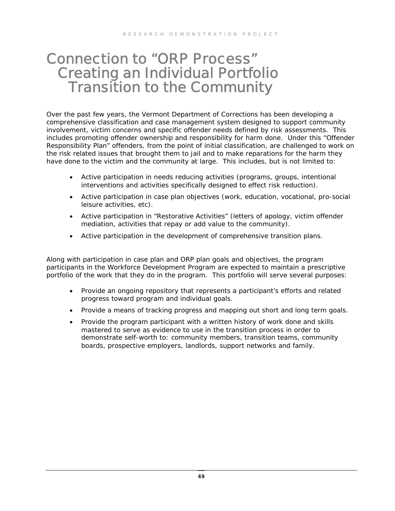### **Creating an Individual Portfolio** OO Connection to "ORP Process" Transition to the Community

Over the past few years, the Vermont Department of Corrections has been developing a comprehensive classification and case management system designed to support community involvement, victim concerns and specific offender needs defined by risk assessments. This includes promoting offender ownership and responsibility for harm done. Under this "Offender Responsibility Plan" offenders, from the point of initial classification, are challenged to work on the risk related issues that brought them to jail and to make reparations for the harm they have done to the victim and the community at large. This includes, but is not limited to:

- Active participation in needs reducing activities (programs, groups, intentional interventions and activities specifically designed to effect risk reduction).
- Active participation in case plan objectives (work, education, vocational, pro-social leisure activities, etc).
- Active participation in "Restorative Activities" (letters of apology, victim offender mediation, activities that repay or add value to the community).
- Active participation in the development of comprehensive transition plans.

Along with participation in case plan and ORP plan goals and objectives, the program participants in the Workforce Development Program are expected to maintain a prescriptive portfolio of the work that they do in the program. This portfolio will serve several purposes:

- Provide an ongoing repository that represents a participant's efforts and related progress toward program and individual goals.
- Provide a means of tracking progress and mapping out short and long term goals.
- Provide the program participant with a written history of work done and skills mastered to serve as evidence to use in the transition process in order to demonstrate self-worth to: community members, transition teams, community boards, prospective employers, landlords, support networks and family.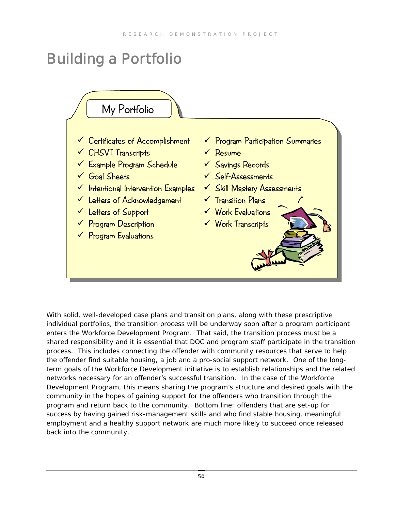# Building a Portfolio



With solid, well-developed case plans and transition plans, along with these prescriptive individual portfolios, the transition process will be underway soon after a program participant enters the Workforce Development Program. That said, the transition process must be a shared responsibility and it is essential that DOC and program staff participate in the transition process. This includes connecting the offender with community resources that serve to help the offender find suitable housing, a job and a pro-social support network. One of the longterm goals of the Workforce Development initiative is to establish relationships and the related networks necessary for an offender's successful transition. In the case of the Workforce Development Program, this means sharing the program's structure and desired goals with the community in the hopes of gaining support for the offenders who transition through the program and return back to the community. Bottom line: offenders that are set-up for success by having gained risk-management skills and who find stable housing, meaningful employment and a healthy support network are much more likely to succeed once released back into the community.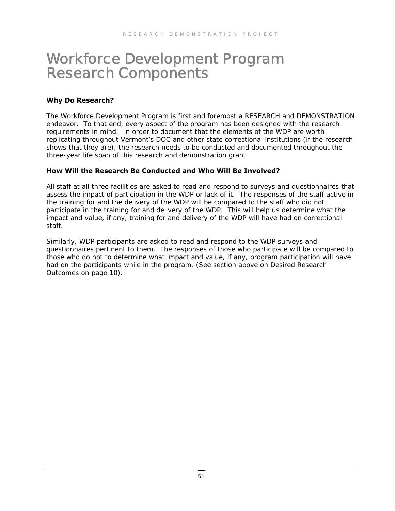### Workforce Development Program Research Components

#### **Why Do Research?**

The Workforce Development Program is first and foremost a RESEARCH and DEMONSTRATION endeavor. To that end, every aspect of the program has been designed with the research requirements in mind. In order to document that the elements of the WDP are worth replicating throughout Vermont's DOC and other state correctional institutions (if the research shows that they are), the research needs to be conducted and documented throughout the three-year life span of this research and demonstration grant.

#### **How Will the Research Be Conducted and Who Will Be Involved?**

All staff at all three facilities are asked to read and respond to surveys and questionnaires that assess the impact of participation in the WDP or lack of it. The responses of the staff active in the training for and the delivery of the WDP will be compared to the staff who did not participate in the training for and delivery of the WDP. This will help us determine what the impact and value, if any, training for and delivery of the WDP will have had on correctional staff.

Similarly, WDP participants are asked to read and respond to the WDP surveys and questionnaires pertinent to them. The responses of those who participate will be compared to those who do not to determine what impact and value, if any, program participation will have had on the participants while in the program. (See section above on Desired Research Outcomes on page 10).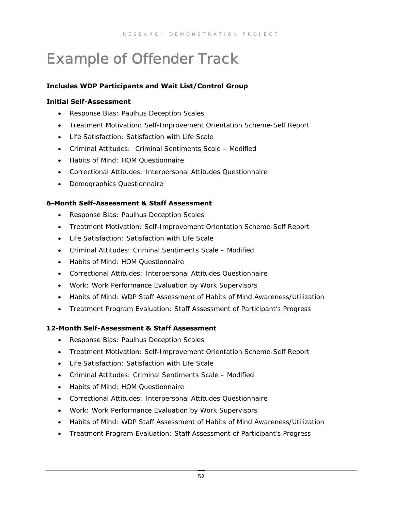# Example of Offender Track

#### **Includes WDP Participants and Wait List/Control Group**

#### **Initial Self-Assessment**

- Response Bias: Paulhus Deception Scales
- Treatment Motivation: Self-Improvement Orientation Scheme-Self Report
- Life Satisfaction: Satisfaction with Life Scale
- Criminal Attitudes: Criminal Sentiments Scale Modified
- Habits of Mind: HOM Questionnaire
- Correctional Attitudes: Interpersonal Attitudes Questionnaire
- Demographics Questionnaire

#### **6-Month Self-Assessment & Staff Assessment**

- Response Bias: Paulhus Deception Scales
- Treatment Motivation: Self-Improvement Orientation Scheme-Self Report
- Life Satisfaction: Satisfaction with Life Scale
- Criminal Attitudes: Criminal Sentiments Scale Modified
- Habits of Mind: HOM Questionnaire
- Correctional Attitudes: Interpersonal Attitudes Questionnaire
- Work: Work Performance Evaluation by Work Supervisors
- Habits of Mind: WDP Staff Assessment of Habits of Mind Awareness/Utilization
- Treatment Program Evaluation: Staff Assessment of Participant's Progress

#### **12-Month Self-Assessment & Staff Assessment**

- Response Bias: Paulhus Deception Scales
- Treatment Motivation: Self-Improvement Orientation Scheme-Self Report
- Life Satisfaction: Satisfaction with Life Scale
- Criminal Attitudes: Criminal Sentiments Scale Modified
- Habits of Mind: HOM Questionnaire
- Correctional Attitudes: Interpersonal Attitudes Questionnaire
- Work: Work Performance Evaluation by Work Supervisors
- Habits of Mind: WDP Staff Assessment of Habits of Mind Awareness/Utilization
- Treatment Program Evaluation: Staff Assessment of Participant's Progress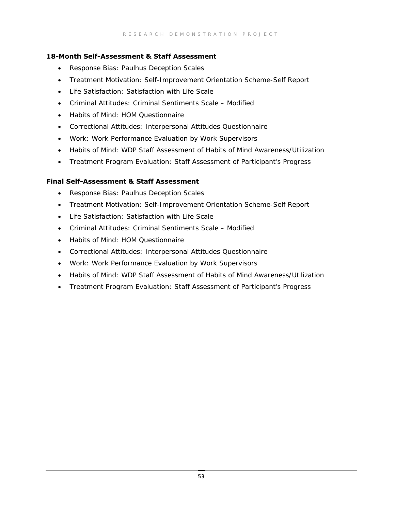#### **18-Month Self-Assessment & Staff Assessment**

- Response Bias: Paulhus Deception Scales
- Treatment Motivation: Self-Improvement Orientation Scheme-Self Report
- Life Satisfaction: Satisfaction with Life Scale
- Criminal Attitudes: Criminal Sentiments Scale Modified
- Habits of Mind: HOM Questionnaire
- Correctional Attitudes: Interpersonal Attitudes Questionnaire
- Work: Work Performance Evaluation by Work Supervisors
- Habits of Mind: WDP Staff Assessment of Habits of Mind Awareness/Utilization
- Treatment Program Evaluation: Staff Assessment of Participant's Progress

#### **Final Self-Assessment & Staff Assessment**

- Response Bias: Paulhus Deception Scales
- Treatment Motivation: Self-Improvement Orientation Scheme-Self Report
- Life Satisfaction: Satisfaction with Life Scale
- Criminal Attitudes: Criminal Sentiments Scale Modified
- Habits of Mind: HOM Questionnaire
- Correctional Attitudes: Interpersonal Attitudes Questionnaire
- Work: Work Performance Evaluation by Work Supervisors
- Habits of Mind: WDP Staff Assessment of Habits of Mind Awareness/Utilization
- Treatment Program Evaluation: Staff Assessment of Participant's Progress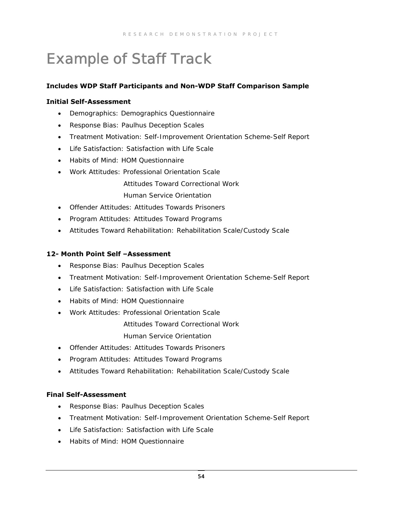# Example of Staff Track

#### **Includes WDP Staff Participants and Non-WDP Staff Comparison Sample**

#### **Initial Self-Assessment**

- Demographics: Demographics Questionnaire
- Response Bias: Paulhus Deception Scales
- Treatment Motivation: Self-Improvement Orientation Scheme-Self Report
- Life Satisfaction: Satisfaction with Life Scale
- Habits of Mind: HOM Questionnaire
- Work Attitudes: Professional Orientation Scale

 Attitudes Toward Correctional Work Human Service Orientation

- Offender Attitudes: Attitudes Towards Prisoners
- Program Attitudes: Attitudes Toward Programs
- Attitudes Toward Rehabilitation: Rehabilitation Scale/Custody Scale

#### **12- Month Point Self –Assessment**

- Response Bias: Paulhus Deception Scales
- Treatment Motivation: Self-Improvement Orientation Scheme-Self Report
- Life Satisfaction: Satisfaction with Life Scale
- Habits of Mind: HOM Questionnaire
- Work Attitudes: Professional Orientation Scale

Attitudes Toward Correctional Work

Human Service Orientation

- Offender Attitudes: Attitudes Towards Prisoners
- Program Attitudes: Attitudes Toward Programs
- Attitudes Toward Rehabilitation: Rehabilitation Scale/Custody Scale

#### **Final Self-Assessment**

- Response Bias: Paulhus Deception Scales
- Treatment Motivation: Self-Improvement Orientation Scheme-Self Report
- Life Satisfaction: Satisfaction with Life Scale
- Habits of Mind: HOM Questionnaire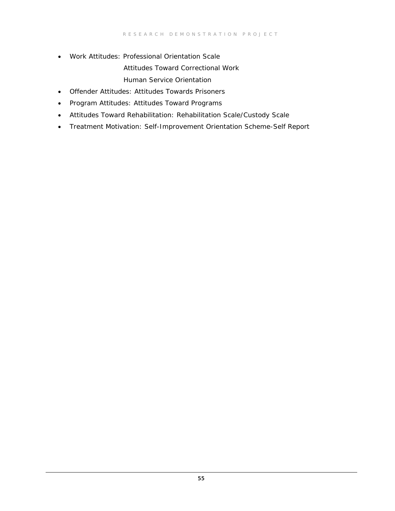• Work Attitudes: Professional Orientation Scale

Attitudes Toward Correctional Work

Human Service Orientation

- Offender Attitudes: Attitudes Towards Prisoners
- Program Attitudes: Attitudes Toward Programs
- Attitudes Toward Rehabilitation: Rehabilitation Scale/Custody Scale
- Treatment Motivation: Self-Improvement Orientation Scheme-Self Report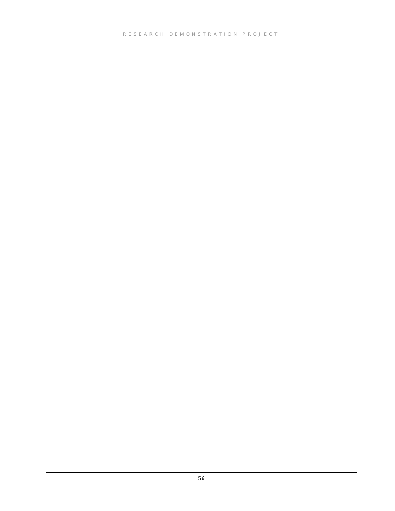#### RESEARCH DEMONSTRATION PROJECT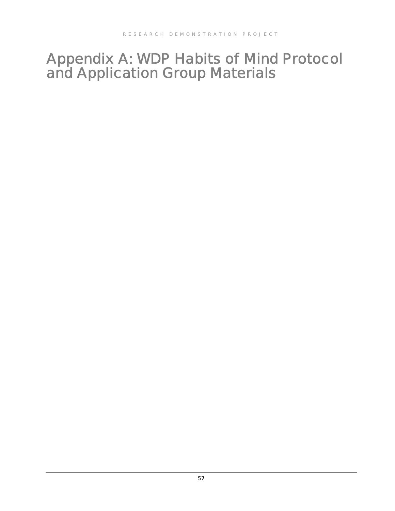# Appendix A: WDP Habits of Mind Protocol and Application Group Materials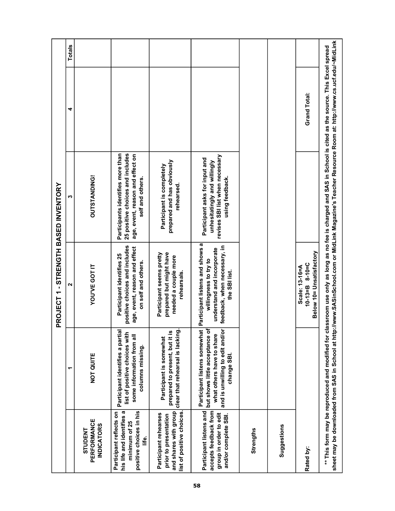|                                                                                                                      |                                                                                                                                               | PROJECT 1 - STRENGTH BASED INVENTORY                                                                                                    |                                                                                                                                                                                                                                                                                                                        |              |               |
|----------------------------------------------------------------------------------------------------------------------|-----------------------------------------------------------------------------------------------------------------------------------------------|-----------------------------------------------------------------------------------------------------------------------------------------|------------------------------------------------------------------------------------------------------------------------------------------------------------------------------------------------------------------------------------------------------------------------------------------------------------------------|--------------|---------------|
|                                                                                                                      | ۳                                                                                                                                             | 2                                                                                                                                       | ო                                                                                                                                                                                                                                                                                                                      | 4            | <b>Totals</b> |
| PERFORMANCE<br><b>INDICATORS</b><br><b>STUDENT</b>                                                                   | NOT QUITE                                                                                                                                     | <b>YOU'VE GOT IT</b>                                                                                                                    | <b>OUTSTANDING!</b>                                                                                                                                                                                                                                                                                                    |              |               |
| his life and identifies a<br>Participant reflects on<br>positive choices in his<br>minimum of 25<br>ن <u>ه</u><br>اا | Participant identifies a partial<br>list of positive choices with<br>some information from all<br>columns missing.                            | positive choices and includes<br>age, event, reason and effect<br>Participant identifies 25<br>on self and others.                      | Participants identifies more than<br>25 positive choices and includes<br>age, event, reason and effect on<br>self and others.                                                                                                                                                                                          |              |               |
| and shares with group<br>list of positive choices.<br>Participant rehearses<br>prior to presentation                 | clear that rehearsal is lacking.<br>prepared to present, but it is<br>Participant is somewhat                                                 | prepared but might have<br>Participant seems pretty<br>needed a couple more<br>rehearsals.                                              | prepared and has obviously<br>Participant is completely<br>rehearsed.                                                                                                                                                                                                                                                  |              |               |
| accepts feedback from<br>Participant listens and<br>group in order to edit<br>and/or complete SBI.                   | but shows little acceptance of<br>and is unwilling to edit and/or<br>Participant listens somewhat<br>what others have to share<br>change SBI. | Participant listens and shows a<br>feedback, when necessary, in<br>understand and incorporate<br>willingness to try to<br>the SBI list. | revises SBI list when necessary<br>Participant asks for input and<br>unhesitatingly and willingly<br>using feedback.                                                                                                                                                                                                   |              |               |
| Strengths                                                                                                            |                                                                                                                                               |                                                                                                                                         |                                                                                                                                                                                                                                                                                                                        |              |               |
| Suggestions                                                                                                          |                                                                                                                                               |                                                                                                                                         |                                                                                                                                                                                                                                                                                                                        |              |               |
| Rated by:                                                                                                            |                                                                                                                                               | Below 10= Unsatisfactory<br>$10-13=$ B 8-10=C<br>Scale: 13-16=A                                                                         |                                                                                                                                                                                                                                                                                                                        | Grand Total: |               |
|                                                                                                                      |                                                                                                                                               |                                                                                                                                         | sheet may be downloaded from SAS in School at http://www.SASinSchool.com or MidLink Magazine's Teacher Resource Room at: http://www.cs.ucf.edu/~MidLink<br>** This form may be reproduced and modified for classroom use only as long as no fee is charged and SAS in School is cited as the source. This Excel spread |              |               |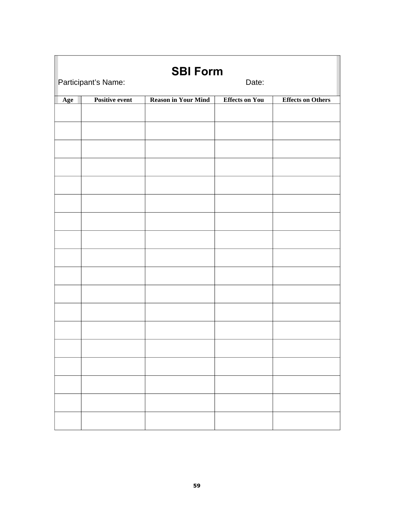| <b>SBI Form</b><br>Participant's Name:<br>Date: |                       |                            |                       |                          |  |
|-------------------------------------------------|-----------------------|----------------------------|-----------------------|--------------------------|--|
| Age                                             | <b>Positive event</b> | <b>Reason in Your Mind</b> | <b>Effects on You</b> | <b>Effects on Others</b> |  |
|                                                 |                       |                            |                       |                          |  |
|                                                 |                       |                            |                       |                          |  |
|                                                 |                       |                            |                       |                          |  |
|                                                 |                       |                            |                       |                          |  |
|                                                 |                       |                            |                       |                          |  |
|                                                 |                       |                            |                       |                          |  |
|                                                 |                       |                            |                       |                          |  |
|                                                 |                       |                            |                       |                          |  |
|                                                 |                       |                            |                       |                          |  |
|                                                 |                       |                            |                       |                          |  |
|                                                 |                       |                            |                       |                          |  |
|                                                 |                       |                            |                       |                          |  |
|                                                 |                       |                            |                       |                          |  |
|                                                 |                       |                            |                       |                          |  |
|                                                 |                       |                            |                       |                          |  |
|                                                 |                       |                            |                       |                          |  |
|                                                 |                       |                            |                       |                          |  |
|                                                 |                       |                            |                       |                          |  |
|                                                 |                       |                            |                       |                          |  |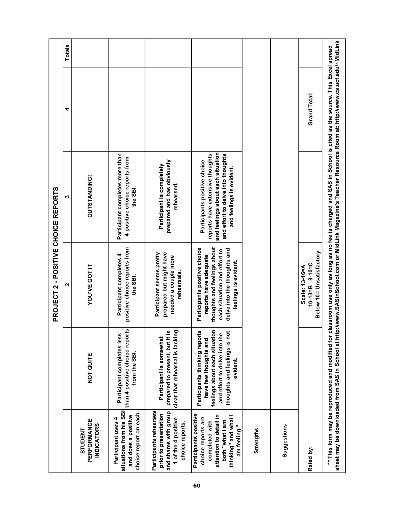|                                     | <b>Totals</b> |                                                    |                                                                                                |                                                                                                                    |                                                                                                                                                                             |           |             |                                                                 |                                                                                                                                                             |
|-------------------------------------|---------------|----------------------------------------------------|------------------------------------------------------------------------------------------------|--------------------------------------------------------------------------------------------------------------------|-----------------------------------------------------------------------------------------------------------------------------------------------------------------------------|-----------|-------------|-----------------------------------------------------------------|-------------------------------------------------------------------------------------------------------------------------------------------------------------|
|                                     | 4             |                                                    |                                                                                                |                                                                                                                    |                                                                                                                                                                             |           |             | Grand Total:                                                    |                                                                                                                                                             |
|                                     | ∾             | <b>OUTSTANDING!</b>                                | Participant completes more than<br>4 positive choice reports from<br>the SBI.                  | prepared and has obviously<br>Participant is completely<br>rehearsed.                                              | and feelings about each situation<br>reports have extensive thoughts<br>and effort to delve into thoughts<br>Participants positive choice<br>and feelings is evident.       |           |             |                                                                 | ** This form may be reproduced and modified for classroom use only as long as no fee is charged and SAS in School is cited as the source. This Excel spread |
| PROJECT 2 - POSITIVE CHOICE REPORTS | ี∾            | YOU'VE GOT IT                                      | positive choice reports from<br>Participant completes 4<br>the SBI.                            | prepared but might have<br>Participant seems pretty<br>needed a couple more<br>rehearsals.                         | thoughts and feelings about<br>Participants positive choice<br>delve into the thoughts and<br>each situation and effort to<br>reports have adequate<br>feelings is evident. |           |             | Below 10= Unsatisfactory<br>$10-13=$ B 8-10=C<br>Scale: 13-16=A |                                                                                                                                                             |
|                                     |               | NOT QUITE                                          | than 4 positive choice reports<br>Participant completes less<br>from the SBI.                  | clear that rehearsal is lacking.<br>prepared to present, but it is<br>Participant is somewhat                      | feelings about each situation<br>Participants thinking reports<br>thoughts and feelings is not<br>and effort to delve into the<br>have few thoughts and<br>evident.         |           |             |                                                                 |                                                                                                                                                             |
|                                     |               | PERFORMANCE<br><b>INDICATORS</b><br><b>STUDENT</b> | situations from his SBI<br>choice report on each.<br>and does a positive<br>Participant uses 4 | and shares with group<br>Participants rehearses<br>prior to presentation<br>1 of the 4 positive<br>choice reports. | Participants positive<br>thinking" and what I<br>attention to detail in<br>choice reports are<br>both "what I am<br>completed with<br>am feeling."                          | Strengths | Suggestions | Rated by:                                                       |                                                                                                                                                             |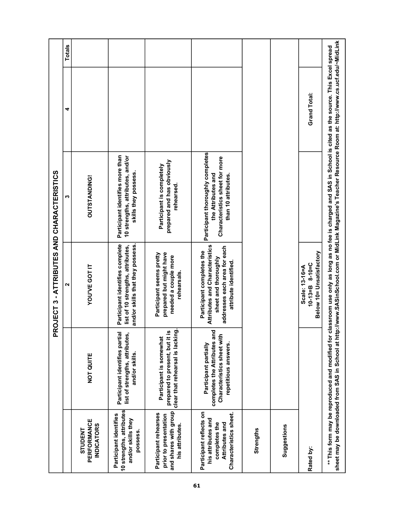|                                                                                                            |                                                                                                             | PROJECT 3 - ATTRIBUTES AND CHARACTERISTICS                                                                                                   |                                                                                                                                                                                                                                                                                                                        |              |               |
|------------------------------------------------------------------------------------------------------------|-------------------------------------------------------------------------------------------------------------|----------------------------------------------------------------------------------------------------------------------------------------------|------------------------------------------------------------------------------------------------------------------------------------------------------------------------------------------------------------------------------------------------------------------------------------------------------------------------|--------------|---------------|
|                                                                                                            |                                                                                                             | 2                                                                                                                                            | ∾                                                                                                                                                                                                                                                                                                                      | 4            | <b>Totals</b> |
| PERFORMANCE<br><b>INDICATORS</b><br><b>STUDENT</b>                                                         | NOT QUITE                                                                                                   | <b>YOU'VE GOT IT</b>                                                                                                                         | <b>OUTSTANDING!</b>                                                                                                                                                                                                                                                                                                    |              |               |
| 10 strengths, attributes<br>Participant identifies<br>and/or skills they<br>possess.                       | Participant identifies partial<br>list of strengths, attributes,<br>and/or skills.                          | Participant identifies complete<br>and/or skills that they possess.<br>list of 10 strengths, attributes,                                     | Participant identifies more than<br>10 strengths, attributes, and/or<br>skills they possess.                                                                                                                                                                                                                           |              |               |
| and shares with group<br>Participant rehearses<br>prior to presentation<br>his attributes.                 | clear that rehearsal is lacking.<br>prepared to present, but it is<br>Participant is somewhat               | prepared but might have<br>Participant seems pretty<br>needed a couple more<br>rehearsals.                                                   | prepared and has obviously<br>Participant is completely<br>rehearsed.                                                                                                                                                                                                                                                  |              |               |
| Participant reflects on<br>Characteristics sheet.<br>his attributes and<br>completes the<br>Attributes and | completes the Attributes and<br>Characteristics sheet with<br>repetitious answers.<br>Participant partially | Attributes and Characteristics<br>addresses each area for each<br>Participant completes the<br>sheet and thoroughly<br>attribute identified. | Participant thoroughly completes<br>Characteristics sheet for more<br>the Attributes and<br>than 10 attributes.                                                                                                                                                                                                        |              |               |
| Strengths                                                                                                  |                                                                                                             |                                                                                                                                              |                                                                                                                                                                                                                                                                                                                        |              |               |
| Suggestions                                                                                                |                                                                                                             |                                                                                                                                              |                                                                                                                                                                                                                                                                                                                        |              |               |
| Rated by:                                                                                                  |                                                                                                             | Below 10= Unsatisfactory<br>$10-13=$ B 8-10=C<br>Scale: 13-16=A                                                                              |                                                                                                                                                                                                                                                                                                                        | Grand Total: |               |
|                                                                                                            |                                                                                                             |                                                                                                                                              | sheet may be downloaded from SAS in School at http://www.SASinSchool.com or MidLink Magazine's Teacher Resource Room at: http://www.cs.ucf.edu/~MidLink<br>** This form may be reproduced and modified for classroom use only as long as no fee is charged and SAS in School is cited as the source. This Excel spread |              |               |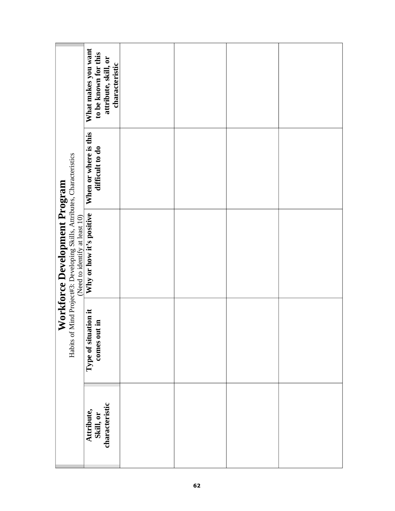|                                                                                                                                             | What makes you want<br>to be known for this<br>attribute, skill, or<br>characteristic |  |  |
|---------------------------------------------------------------------------------------------------------------------------------------------|---------------------------------------------------------------------------------------|--|--|
| Habits of Mind Project#3: Developing Skills, Attributes, Characteristics<br>Workforce Development Program<br>(Need to identify at least 10) | When or where is this<br>difficult to do                                              |  |  |
|                                                                                                                                             | Why or how it's positive                                                              |  |  |
|                                                                                                                                             | Type of situation it<br>comes out in                                                  |  |  |
|                                                                                                                                             | characteristic<br>Attribute,<br>Skill, or                                             |  |  |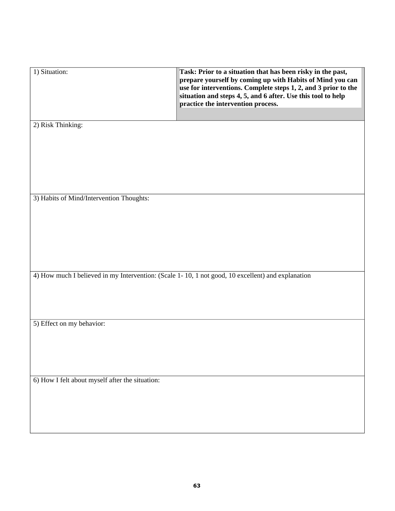| 1) Situation:                                                                                     | Task: Prior to a situation that has been risky in the past,<br>prepare yourself by coming up with Habits of Mind you can<br>use for interventions. Complete steps 1, 2, and 3 prior to the<br>situation and steps 4, 5, and 6 after. Use this tool to help<br>practice the intervention process. |
|---------------------------------------------------------------------------------------------------|--------------------------------------------------------------------------------------------------------------------------------------------------------------------------------------------------------------------------------------------------------------------------------------------------|
| 2) Risk Thinking:                                                                                 |                                                                                                                                                                                                                                                                                                  |
| 3) Habits of Mind/Intervention Thoughts:                                                          |                                                                                                                                                                                                                                                                                                  |
| 4) How much I believed in my Intervention: (Scale 1-10, 1 not good, 10 excellent) and explanation |                                                                                                                                                                                                                                                                                                  |
| 5) Effect on my behavior:                                                                         |                                                                                                                                                                                                                                                                                                  |
| 6) How I felt about myself after the situation:                                                   |                                                                                                                                                                                                                                                                                                  |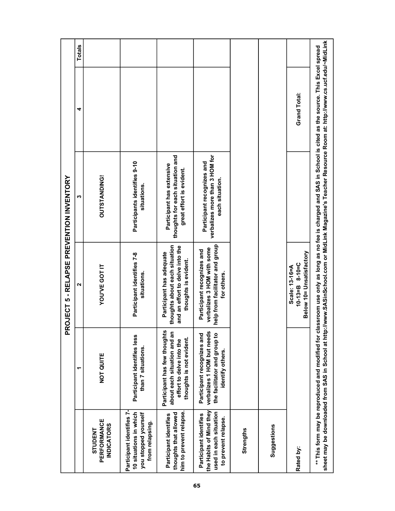|                                                                                                    |                                                                                                                     | PROJECT 5 - RELAPSE PREVENTION INVENTORY                                                                             |                                                                                                                                                                                                                                                                                                                        |              |               |
|----------------------------------------------------------------------------------------------------|---------------------------------------------------------------------------------------------------------------------|----------------------------------------------------------------------------------------------------------------------|------------------------------------------------------------------------------------------------------------------------------------------------------------------------------------------------------------------------------------------------------------------------------------------------------------------------|--------------|---------------|
|                                                                                                    | ᠆                                                                                                                   | 2                                                                                                                    | 3                                                                                                                                                                                                                                                                                                                      | 4            | <b>Totals</b> |
| PERFORMANCE<br><b>INDICATORS</b><br><b>STUDENT</b>                                                 | NOT QUITE                                                                                                           | YOU'VE GOT IT                                                                                                        | <b>OUTSTANDING!</b>                                                                                                                                                                                                                                                                                                    |              |               |
| Participant identifies 7-<br>10 situations in which<br>you stopped yourself<br>from relapsing.     | Participant identifies less<br>than 7 situations.                                                                   | Participant identifies 7-8<br>situations.                                                                            | Participants identifies 9-10<br>situations.                                                                                                                                                                                                                                                                            |              |               |
| him to prevent relapse.<br>thoughts that allowed<br>Participant identifies                         | Participant has few thoughts<br>about each situation and an<br>thoughts is not evident.<br>effort to delve into the | thoughts about each situation<br>and an effort to delve into the<br>Participant has adequate<br>thoughts is evident. | thoughts for each situation and<br>Participant has extensive<br>great effort is evident.                                                                                                                                                                                                                               |              |               |
| the Habits of Mind they<br>used in each situation<br>Participant identifies<br>to prevent relapse. | verbalizes 1 HOM but needs<br>Participant recognizes and<br>the facilitator and group to<br>identify others.        | help from facilitator and group<br>verbalizes 3 HOM with some<br>Participant recognizes and<br>for others.           | verbalizes more than 3 HOM for<br>Participant recognizes and<br>each situation.                                                                                                                                                                                                                                        |              |               |
| Strengths                                                                                          |                                                                                                                     |                                                                                                                      |                                                                                                                                                                                                                                                                                                                        |              |               |
| Suggestions                                                                                        |                                                                                                                     |                                                                                                                      |                                                                                                                                                                                                                                                                                                                        |              |               |
| Rated by:                                                                                          |                                                                                                                     | Below 10= Unsatisfactory<br>$8 - 10 = C$<br>Scale: 13-16=A<br>$10 - 13 = B$                                          |                                                                                                                                                                                                                                                                                                                        | Grand Total: |               |
|                                                                                                    |                                                                                                                     |                                                                                                                      | sheet may be downloaded from SAS in School at http://www.SASinSchool.com or MidLink Magazine's Teacher Resource Room at: http://www.cs.ucf.edu/~MidLink<br>** This form may be reproduced and modified for classroom use only as long as no fee is charged and SAS in School is cited as the source. This Excel spread |              |               |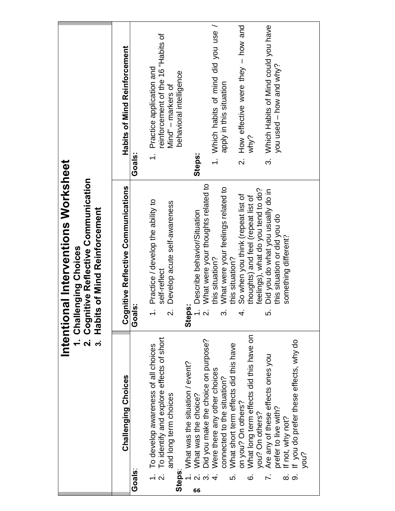| .<br>ო                                                                                                                                                                                                                                                                                                                                                                                                                                                                                                                                                                                                        | Intentional Interventions Worksheet<br>2. Cognitive Reflective Communication<br><b>Habits of Mind Reinforcement</b><br>1. Challenging Choices                                                                                                                                                                                                                                                                                                                                                                                                   |                                                                                                                                                                                                                                                                                                                                                   |
|---------------------------------------------------------------------------------------------------------------------------------------------------------------------------------------------------------------------------------------------------------------------------------------------------------------------------------------------------------------------------------------------------------------------------------------------------------------------------------------------------------------------------------------------------------------------------------------------------------------|-------------------------------------------------------------------------------------------------------------------------------------------------------------------------------------------------------------------------------------------------------------------------------------------------------------------------------------------------------------------------------------------------------------------------------------------------------------------------------------------------------------------------------------------------|---------------------------------------------------------------------------------------------------------------------------------------------------------------------------------------------------------------------------------------------------------------------------------------------------------------------------------------------------|
| Challenging Choices<br>Goals:                                                                                                                                                                                                                                                                                                                                                                                                                                                                                                                                                                                 | Cognitive Reflective Communications<br><u>is</u><br>Goal                                                                                                                                                                                                                                                                                                                                                                                                                                                                                        | Habits of Mind Reinforcement<br>Goals:                                                                                                                                                                                                                                                                                                            |
| What long term effects did this have on<br>To identify and explore effects of short<br>Did you make the choice on purpose?<br>If you do prefer these effects, why do<br>What short term effects did this have<br>1. To develop awareness of all choices<br>Are any of these effects ones you<br>What was the situation / event?<br>Were there any other choices<br>connected to the situation?<br>and long term choices<br>What was the choice?<br>on you? On others?<br>prefer to live with?<br>you? On others?<br>If not, why not?<br>you?<br>Steps:<br>$\overline{\mathbf{a}}$<br>တ<br>ထ<br>ιó.<br>Ġ<br>66 | What were your thoughts related to<br>What were your feelings related to<br>feelings), what do you tend to do?<br>Did you do what you usually do in<br>So when you think (repeat list of<br>thoughts) and feel (repeat list of<br>Practice / develop the ability to<br>Develop acute self-awareness<br>Describe behavior/Situation<br>this situation or did you do<br>something different?<br>this situation?<br>this situation?<br>self-reflect<br>ij<br>$\div$<br>$\overline{\mathbf{C}}$<br>Step<br>$\mathbf{\Omega}$<br>S<br>4<br><u>LO</u> | 1. Which habits of mind did you use /<br>3. Which Habits of Mind could you have<br>How effective were they - how and<br>reinforcement of the 16 "Habits of<br>you used - how and why?<br>Practice application and<br>behavioral intelligence<br>apply in this situation<br>Mind" - markers of<br>why?<br><b>Steps:</b><br>$\overline{\mathsf{a}}$ |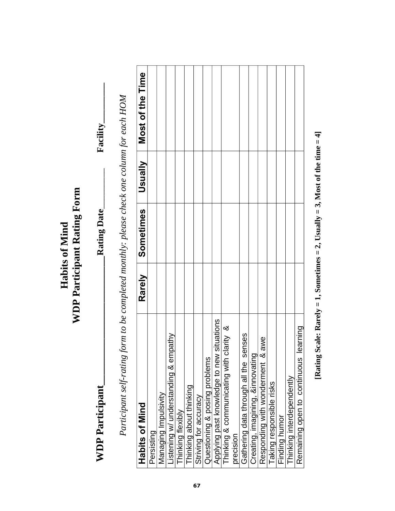**WDP Participant Rating Form WDP Participant Rating Form Habits of Mind Habits of Nind** 

 **WDP Participant\_\_\_\_\_\_\_\_\_\_\_\_\_\_\_\_\_\_\_\_\_\_\_\_\_ Rating Date**\_\_\_\_\_\_\_\_\_ **Facility\_\_\_\_\_\_\_\_\_ WDP Participant** 

Rating Date

Facility\_

*Participant self-rating form to be completed monthly: please check one column for each HOM*  Participant self-rating form to be completed monthly: please check one column for each HOM

| Habits of Mind                               | Rarely | Sometimes | Usually | Most of the Time |
|----------------------------------------------|--------|-----------|---------|------------------|
| Persisting                                   |        |           |         |                  |
| Managing Impulsivity                         |        |           |         |                  |
| Listening w/ understanding & empathy         |        |           |         |                  |
| Thinking flexibly                            |        |           |         |                  |
| Thinking about thinking                      |        |           |         |                  |
| Striving for accuracy                        |        |           |         |                  |
| Questioning & posing problems                |        |           |         |                  |
| situations<br>Applying past knowledge to new |        |           |         |                  |
| Thinking & communicating with clarity &      |        |           |         |                  |
| precision                                    |        |           |         |                  |
| Gathering data through all the senses        |        |           |         |                  |
| Creating, imagining, &innovating             |        |           |         |                  |
| awe<br>Responding with wonderment &          |        |           |         |                  |
| Taking responsible risks                     |        |           |         |                  |
| Finding humor                                |        |           |         |                  |
| Thinking interdependently                    |        |           |         |                  |
| learning<br>Remaining open to continuous     |        |           |         |                  |

**[Rating Scale: Rarely = 1, Sometimes = 2, Usually = 3, Most of the time = 4]** [Rating Scale: Rarely = 1, Sometimes = 2, Usually = 3, Most of the time = 4]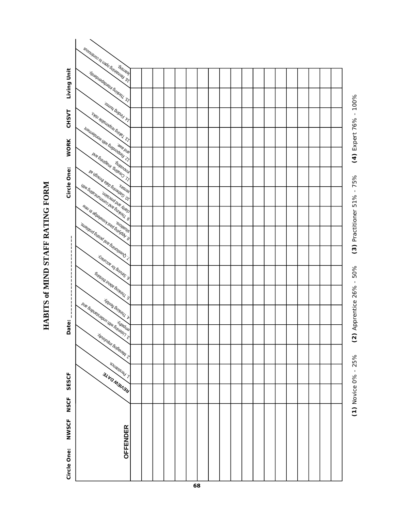

HABITS of MIND STAFF RATING FORM **HABITS of MIND STAFF RATING FORM**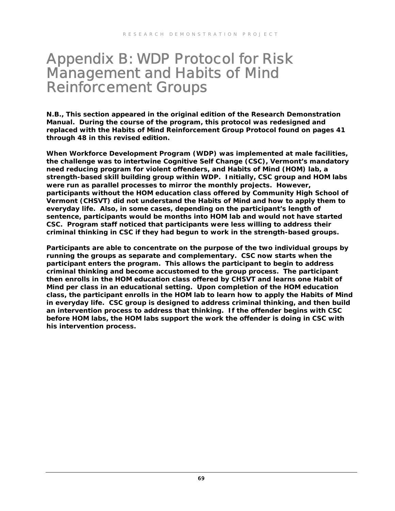## Appendix B: WDP Protocol for Risk Management and Habits of Mind Reinforcement Groups

*N.B., This section appeared in the original edition of the Research Demonstration Manual. During the course of the program, this protocol was redesigned and replaced with the Habits of Mind Reinforcement Group Protocol found on pages 41 through 48 in this revised edition.* 

*When Workforce Development Program (WDP) was implemented at male facilities, the challenge was to intertwine Cognitive Self Change (CSC), Vermont's mandatory need reducing program for violent offenders, and Habits of Mind (HOM) lab, a strength-based skill building group within WDP. Initially, CSC group and HOM labs were run as parallel processes to mirror the monthly projects. However, participants without the HOM education class offered by Community High School of Vermont (CHSVT) did not understand the Habits of Mind and how to apply them to everyday life. Also, in some cases, depending on the participant's length of sentence, participants would be months into HOM lab and would not have started CSC. Program staff noticed that participants were less willing to address their criminal thinking in CSC if they had begun to work in the strength-based groups.* 

*Participants are able to concentrate on the purpose of the two individual groups by running the groups as separate and complementary. CSC now starts when the participant enters the program. This allows the participant to begin to address criminal thinking and become accustomed to the group process. The participant then enrolls in the HOM education class offered by CHSVT and learns one Habit of Mind per class in an educational setting. Upon completion of the HOM education class, the participant enrolls in the HOM lab to learn how to apply the Habits of Mind in everyday life. CSC group is designed to address criminal thinking, and then build an intervention process to address that thinking. If the offender begins with CSC before HOM labs, the HOM labs support the work the offender is doing in CSC with his intervention process.*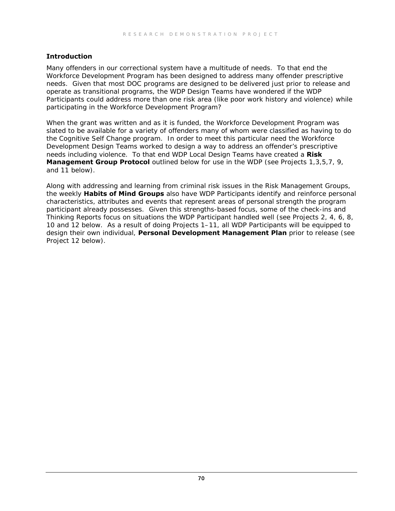## **Introduction**

Many offenders in our correctional system have a multitude of needs. To that end the Workforce Development Program has been designed to address many offender prescriptive needs. Given that most DOC programs are designed to be delivered just prior to release and operate as transitional programs, the WDP Design Teams have wondered if the WDP Participants could address more than one risk area (like poor work history and violence) while participating in the Workforce Development Program?

When the grant was written and as it is funded, the Workforce Development Program was slated to be available for a variety of offenders many of whom were classified as having to do the Cognitive Self Change program. In order to meet this particular need the Workforce Development Design Teams worked to design a way to address an offender's prescriptive needs including violence. To that end WDP Local Design Teams have created a **Risk Management Group Protocol** outlined below for use in the WDP (see Projects 1,3,5,7, 9, and 11 below).

Along with addressing and learning from criminal risk issues in the Risk Management Groups, the weekly **Habits of Mind Groups** also have WDP Participants identify and reinforce personal characteristics, attributes and events that represent areas of personal strength the program participant already possesses. Given this strengths-based focus, some of the check-ins and Thinking Reports focus on situations the WDP Participant handled well (see Projects 2, 4, 6, 8, 10 and 12 below. As a result of doing Projects 1–11, all WDP Participants will be equipped to design their own individual, **Personal Development Management Plan** prior to release (see Project 12 below).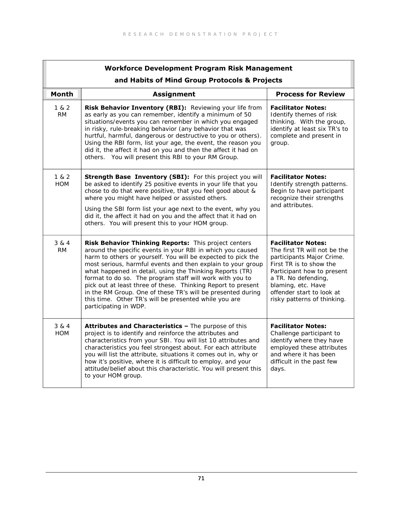|                     | <b>Workforce Development Program Risk Management</b><br>and Habits of Mind Group Protocols & Projects                                                                                                                                                                                                                                                                                                                                                                                                                                                                                      |                                                                                                                                                                                                                                                          |  |
|---------------------|--------------------------------------------------------------------------------------------------------------------------------------------------------------------------------------------------------------------------------------------------------------------------------------------------------------------------------------------------------------------------------------------------------------------------------------------------------------------------------------------------------------------------------------------------------------------------------------------|----------------------------------------------------------------------------------------------------------------------------------------------------------------------------------------------------------------------------------------------------------|--|
| <b>Month</b>        | <b>Assignment</b>                                                                                                                                                                                                                                                                                                                                                                                                                                                                                                                                                                          | <b>Process for Review</b>                                                                                                                                                                                                                                |  |
| 1 & 2<br><b>RM</b>  | Risk Behavior Inventory (RBI): Reviewing your life from<br>as early as you can remember, identify a minimum of 50<br>situations/events you can remember in which you engaged<br>in risky, rule-breaking behavior (any behavior that was<br>hurtful, harmful, dangerous or destructive to you or others).<br>Using the RBI form, list your age, the event, the reason you<br>did it, the affect it had on you and then the affect it had on<br>others. You will present this RBI to your RM Group.                                                                                          | <b>Facilitator Notes:</b><br>Identify themes of risk<br>thinking. With the group,<br>identify at least six TR's to<br>complete and present in<br>group.                                                                                                  |  |
| 1 & 2<br><b>HOM</b> | Strength Base Inventory (SBI): For this project you will<br>be asked to identify 25 positive events in your life that you<br>chose to do that were positive, that you feel good about &<br>where you might have helped or assisted others.<br>Using the SBI form list your age next to the event, why you<br>did it, the affect it had on you and the affect that it had on<br>others. You will present this to your HOM group.                                                                                                                                                            | <b>Facilitator Notes:</b><br>Identify strength patterns.<br>Begin to have participant<br>recognize their strengths<br>and attributes.                                                                                                                    |  |
| 3 & 4<br><b>RM</b>  | Risk Behavior Thinking Reports: This project centers<br>around the specific events in your RBI in which you caused<br>harm to others or yourself. You will be expected to pick the<br>most serious, harmful events and then explain to your group<br>what happened in detail, using the Thinking Reports (TR)<br>format to do so. The program staff will work with you to<br>pick out at least three of these. Thinking Report to present<br>in the RM Group. One of these TR's will be presented during<br>this time. Other TR's will be presented while you are<br>participating in WDP. | <b>Facilitator Notes:</b><br>The first TR will not be the<br>participants Major Crime.<br>First TR is to show the<br>Participant how to present<br>a TR. No defending,<br>blaming, etc. Have<br>offender start to look at<br>risky patterns of thinking. |  |
| 3 & 4<br>HOM        | Attributes and Characteristics - The purpose of this<br>project is to identify and reinforce the attributes and<br>characteristics from your SBI. You will list 10 attributes and<br>characteristics you feel strongest about. For each attribute<br>you will list the attribute, situations it comes out in, why or<br>how it's positive, where it is difficult to employ, and your<br>attitude/belief about this characteristic. You will present this<br>to your HOM group.                                                                                                             | <b>Facilitator Notes:</b><br>Challenge participant to<br>identify where they have<br>employed these attributes<br>and where it has been<br>difficult in the past few<br>days.                                                                            |  |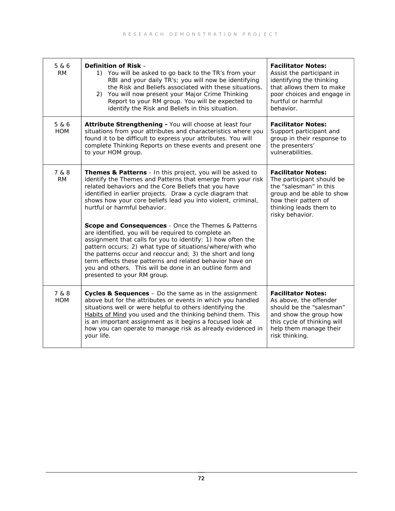| 5 & 6<br><b>RM</b>  | Definition of Risk -<br>1) You will be asked to go back to the TR's from your<br>RBI and your daily TR's; you will now be identifying<br>the Risk and Beliefs associated with these situations.<br>2) You will now present your Major Crime Thinking<br>Report to your RM group. You will be expected to<br>identify the Risk and Beliefs in this situation.                                                                                                      | <b>Facilitator Notes:</b><br>Assist the participant in<br>identifying the thinking<br>that allows them to make<br>poor choices and engage in<br>hurtful or harmful<br>behavior.      |
|---------------------|-------------------------------------------------------------------------------------------------------------------------------------------------------------------------------------------------------------------------------------------------------------------------------------------------------------------------------------------------------------------------------------------------------------------------------------------------------------------|--------------------------------------------------------------------------------------------------------------------------------------------------------------------------------------|
| 5 & 6<br><b>HOM</b> | Attribute Strengthening - You will choose at least four<br>situations from your attributes and characteristics where you<br>found it to be difficult to express your attributes. You will<br>complete Thinking Reports on these events and present one<br>to your HOM group.                                                                                                                                                                                      | <b>Facilitator Notes:</b><br>Support participant and<br>group in their response to<br>the presenters'<br>vulnerabilities.                                                            |
| 7 & 8<br><b>RM</b>  | <b>Themes &amp; Patterns</b> - In this project, you will be asked to<br>identify the Themes and Patterns that emerge from your risk<br>related behaviors and the Core Beliefs that you have<br>identified in earlier projects. Draw a cycle diagram that<br>shows how your core beliefs lead you into violent, criminal,<br>hurtful or harmful behavior.                                                                                                          | <b>Facilitator Notes:</b><br>The participant should be<br>the "salesman" in this<br>group and be able to show<br>how their pattern of<br>thinking leads them to<br>risky behavior.   |
|                     | <b>Scope and Consequences</b> - Once the Themes & Patterns<br>are identified, you will be required to complete an<br>assignment that calls for you to identify: 1) how often the<br>pattern occurs; 2) what type of situations/where/with who<br>the patterns occur and reoccur and; 3) the short and long<br>term effects these patterns and related behavior have on<br>you and others. This will be done in an outline form and<br>presented to your RM group. |                                                                                                                                                                                      |
| 7 & 8<br><b>HOM</b> | <b>Cycles &amp; Sequences</b> - Do the same as in the assignment<br>above but for the attributes or events in which you handled<br>situations well or were helpful to others identifying the<br>Habits of Mind you used and the thinking behind them. This<br>is an important assignment as it begins a focused look at<br>how you can operate to manage risk as already evidenced in<br>your life.                                                               | <b>Facilitator Notes:</b><br>As above, the offender<br>should be the "salesman"<br>and show the group how<br>this cycle of thinking will<br>help them manage their<br>risk thinking. |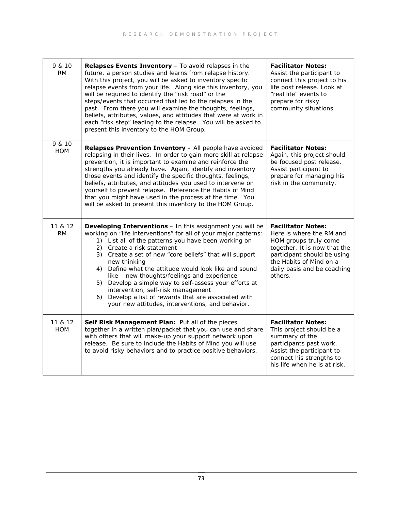| 9 & 10<br><b>RM</b>  | Relapses Events Inventory - To avoid relapses in the<br>future, a person studies and learns from relapse history.<br>With this project, you will be asked to inventory specific<br>relapse events from your life. Along side this inventory, you<br>will be required to identify the "risk road" or the<br>steps/events that occurred that led to the relapses in the<br>past. From there you will examine the thoughts, feelings,<br>beliefs, attributes, values, and attitudes that were at work in<br>each "risk step" leading to the relapse. You will be asked to<br>present this inventory to the HOM Group.        | <b>Facilitator Notes:</b><br>Assist the participant to<br>connect this project to his<br>life post release. Look at<br>"real life" events to<br>prepare for risky<br>community situations.                         |
|----------------------|---------------------------------------------------------------------------------------------------------------------------------------------------------------------------------------------------------------------------------------------------------------------------------------------------------------------------------------------------------------------------------------------------------------------------------------------------------------------------------------------------------------------------------------------------------------------------------------------------------------------------|--------------------------------------------------------------------------------------------------------------------------------------------------------------------------------------------------------------------|
| 9 & 10<br>HOM        | Relapses Prevention Inventory - All people have avoided<br>relapsing in their lives. In order to gain more skill at relapse<br>prevention, it is important to examine and reinforce the<br>strengths you already have. Again, identify and inventory<br>those events and identify the specific thoughts, feelings,<br>beliefs, attributes, and attitudes you used to intervene on<br>yourself to prevent relapse. Reference the Habits of Mind<br>that you might have used in the process at the time. You<br>will be asked to present this inventory to the HOM Group.                                                   | <b>Facilitator Notes:</b><br>Again, this project should<br>be focused post release.<br>Assist participant to<br>prepare for managing his<br>risk in the community.                                                 |
| 11 & 12<br><b>RM</b> | <b>Developing Interventions</b> - In this assignment you will be<br>working on "life interventions" for all of your major patterns:<br>1) List all of the patterns you have been working on<br>2) Create a risk statement<br>3) Create a set of new "core beliefs" that will support<br>new thinking<br>4) Define what the attitude would look like and sound<br>like - new thoughts/feelings and experience<br>5) Develop a simple way to self-assess your efforts at<br>intervention, self-risk management<br>6) Develop a list of rewards that are associated with<br>your new attitudes, interventions, and behavior. | <b>Facilitator Notes:</b><br>Here is where the RM and<br>HOM groups truly come<br>together. It is now that the<br>participant should be using<br>the Habits of Mind on a<br>daily basis and be coaching<br>others. |
| 11 & 12<br>HOM       | Self Risk Management Plan: Put all of the pieces<br>together in a written plan/packet that you can use and share<br>with others that will make-up your support network upon<br>release. Be sure to include the Habits of Mind you will use<br>to avoid risky behaviors and to practice positive behaviors.                                                                                                                                                                                                                                                                                                                | <b>Facilitator Notes:</b><br>This project should be a<br>summary of the<br>participants past work.<br>Assist the participant to<br>connect his strengths to<br>his life when he is at risk.                        |